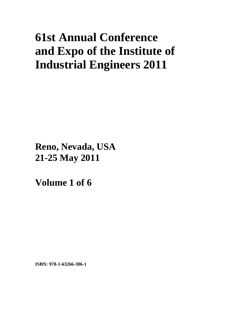# **61st Annual Conference and Expo of the Institute of Industrial Engineers 2011**

**Reno, Nevada, USA 21-25 May 2011**

**Volume 1 of 6** 

**ISBN: 978-1-63266-306-1**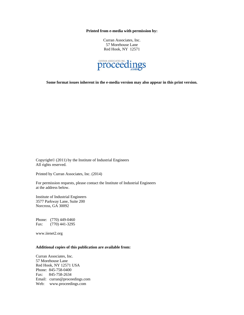**Printed from e-media with permission by:** 

Curran Associates, Inc. 57 Morehouse Lane Red Hook, NY 12571



**Some format issues inherent in the e-media version may also appear in this print version.** 

Copyright© (2011) by the Institute of Industrial Engineers All rights reserved.

Printed by Curran Associates, Inc. (2014)

For permission requests, please contact the Institute of Industrial Engineers at the address below.

Institute of Industrial Engineers 3577 Parkway Lane, Suite 200 Norcross, GA 30092

Phone: (770) 449-0460 Fax: (770) 441-3295

www.iienet2.org

## **Additional copies of this publication are available from:**

Curran Associates, Inc. 57 Morehouse Lane Red Hook, NY 12571 USA Phone: 845-758-0400 Fax: 845-758-2634 Email: curran@proceedings.com Web: www.proceedings.com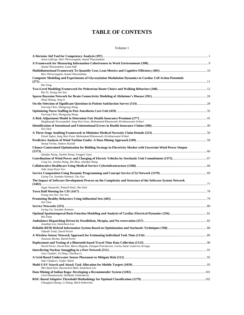# **TABLE OF CONTENTS**

| Jason Laberge, Hari Thiruvengada, Anand Tharanathan                                                                  |  |
|----------------------------------------------------------------------------------------------------------------------|--|
| Anand Tharanathan, Liana Kiff<br>Hari Thiruvengada, Anand Tharanathan                                                |  |
| Computer Modeling and Experiments of Glycosylation Modulation Dynamics in Cardiac Cell Action Potentials<br>Hui Yang |  |
| Hui Xi, Young-Jun Son                                                                                                |  |
| Shuai Huang, Jing Li                                                                                                 |  |
| Yuerong Chen, Shengyong Wang                                                                                         |  |
| Yuerong Chen, Shengyong Wang                                                                                         |  |
| Shaghayegh Norouzzadeh, Sang Won Yoon, Mohammad Khasawneh, Krishnaswami Srihari                                      |  |
| Xin Chen                                                                                                             |  |
| Faisal Aqlan, Sang Won Yoon, Mohammad Khasawneh, Krishnaswami Srihari                                                |  |
| Anoop Verma, Andrew Kusiak                                                                                           |  |
| Chance Constrained Optimization for Bidding Strategy in Electricity Market with Uncertain Wind Power Output          |  |
| Qianfan Wang, Jianhui Wang, Yongpei Guan<br>Cong Liu, Jianhui Wang, Zhi Zhou, Qianfan Wang                           |  |
| John Jung-Woon Yoo                                                                                                   |  |
| Liying Cui, Soundar Kumara, Tao Yao                                                                                  |  |
| The Impact of Software Development Process on the Complexity and Structure of the Software System Network            |  |
| Sagar Kamarthi, Nimesh Patel, Abe Zeid                                                                               |  |
| Young-Jun Son, Tao Yao                                                                                               |  |
| Xin Chen                                                                                                             |  |
| Liying Cui, Soundar Kumara                                                                                           |  |
| Hui Yang                                                                                                             |  |
| Jonathan Lee, Seokcheon Lee                                                                                          |  |
| Takeaki Toma, David Porter                                                                                           |  |
| Tanawat Atichat, David Porter                                                                                        |  |
| David Porter, David Kim, Mario Magaña, Panupat Poocharoen, Carlos Antar Gutierrez Arriaga                            |  |
| Gary Gaukler, Yu Ding, Chenhua Li                                                                                    |  |
| Amir Ghafoori, Tayfur Altiok                                                                                         |  |
| Min-Hyuk Kim, Hyeoncheol Baik, Seokcheon Lee                                                                         |  |
| Carol Romanowski, Debdatta Chakraborty                                                                               |  |
| Changjian Huang, Li Zhang, Mark Embrechts                                                                            |  |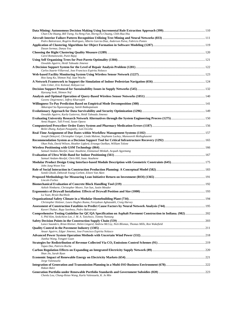| Chun-Che Huang, Bill Tseng, Yu-Neng Fan, Horng-Fu Chuang, Chih-Hua Hsu                                |  |
|-------------------------------------------------------------------------------------------------------|--|
|                                                                                                       |  |
| Pedro Balestrassi, Rogério Rodrigues, Alberto Garcia-Diaz, Anderson Paiva, Fabricio Pontes            |  |
| Dusan Sormaz, Danyu You                                                                               |  |
| Carol Romanowski, Punit Bajaj                                                                         |  |
| Oswaldo Aguirre, Heidi Taboada Jimenez                                                                |  |
|                                                                                                       |  |
| Carlos Ituarte-Villarreal, Jose Francisco Espiritu Nolasco                                            |  |
| Hoo Sang Ko, Shimon Nof, Juan Wachs                                                                   |  |
| John Usher, Eric Kolstad, Hohyun Lee                                                                  |  |
| Hyesung Seok, Shimon Nof                                                                              |  |
| Guvenc Degirmenci, Jeffrey Kharoufeh                                                                  |  |
| Akkarapol Sa-Ngasoongsong, Satish Bukkapatnam                                                         |  |
| Oswaldo Aguirre, Karla Gutierrez, Heidi Taboada Jimenez                                               |  |
| Anna Hopper, Tali Freed, Susan Opava                                                                  |  |
| Beilei Zhang, Kalyan Pasupathy, Luis Occeña                                                           |  |
| Joseph Dekeyrel, Christopher Geiger, Linda Malone, Stephanie Lackey, Mansooreh Mollaghasemi           |  |
|                                                                                                       |  |
| Okan Pala, David Wilson, Heather Lipford, Ertunga Ozelkan, William Tolone                             |  |
| Samuel Andam-Akorful, Isaac Atuahene, Emmanuel Minkah, Acquah Agyemang                                |  |
| Samuel Andam-Akorful, Chris Hill, Isaac Atuahene                                                      |  |
| John Jung-Woon Yoo                                                                                    |  |
| Somik Ghosh, Deborah Young-Corbett, Eileen Van Aken                                                   |  |
| <b>Lincoln Forbes</b>                                                                                 |  |
|                                                                                                       |  |
| Ashish Nimbarte, Christopher Moore, Yun Sun, Justin Meador                                            |  |
| Lu Yuan, Bryan Buchholz                                                                               |  |
| Christopher Holzner, Laura Hughes Ikuma, Fereydoun Aghazadeh, Craig Harvey                            |  |
| Kaveri Thakur, Rupy Sawhney, Pedro Balestrassi                                                        |  |
| S. Phil Kim, Seokcheon Lee, J. M. A. Tanchoco, Tommy Nantung                                          |  |
| Lance Saunders, Brian Kleiner, Helen Lingard, Andrew McCoy, Nick Blismas, Thomas Mills, Ron Wakefield |  |
| Anuar Aguirre, Edgar Jimenez, Jose Francisco Espiritu Nolasco                                         |  |
| Jianhui Wang, Yongpei Guan                                                                            |  |
| Tapas Das, Patricio Rocha                                                                             |  |
| Shan Jin, Sarah Ryan                                                                                  |  |
|                                                                                                       |  |
| Jorge Valenzuela                                                                                      |  |
| Hakan Balci                                                                                           |  |
| Chenlu Lou, Chung-Hsiao Wang, Karla Valenzuela, K. Jo Min                                             |  |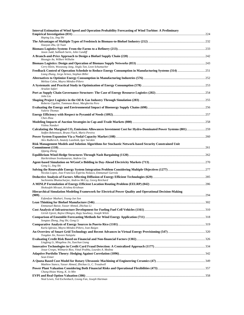| Interval Estimation of Wind Speed and Operation Probability Forecasting of Wind Turbine: A Preliminary                                                  |  |
|---------------------------------------------------------------------------------------------------------------------------------------------------------|--|
| Heping Liu, Jing Shi                                                                                                                                    |  |
| Xiaoyan Zhu, Qi Yuan                                                                                                                                    |  |
| Jason Judd, Subhash Sarin, John Cundiff                                                                                                                 |  |
| Heungjo An, Wilbert Wilhelm                                                                                                                             |  |
| Cerry Klein, Wooseung Jang, Jinglu Tan, Leon Schumacher                                                                                                 |  |
| Feedback Control of Operation Schedule to Reduce Energy Consumption in Manufacturing Systems (314) 251<br>Liang Zhang, Jorge Arinez, Stephan Biller     |  |
| Melitza Colon, Mayra Méndez-Piñero                                                                                                                      |  |
| Arsalan Safari                                                                                                                                          |  |
| John Liu                                                                                                                                                |  |
| Roberto Cigolini, Tommaso Rossi, Margherita Pero                                                                                                        |  |
|                                                                                                                                                         |  |
| Valerie Thomas                                                                                                                                          |  |
| Chen Zhou                                                                                                                                               |  |
| Vishnu Nanduri<br>Calculating the Marginal CO <sub>2</sub> Emissions Allowances Investment Cost for Hydro-Dominated Power Systems (801) 259             |  |
| Steffen Rebennack, Bruno Flach, Mario Pereira                                                                                                           |  |
| Alex Rudkevich, Anatoly Lazebnik, Igor Sorokin<br>Risk Management Models and Solution Algorithms for Stochastic Network-based Security Constrained Unit |  |
|                                                                                                                                                         |  |
| <b>Qipeng Zheng</b>                                                                                                                                     |  |
| Harikrishnan Sreekumaran, Andrew Liu                                                                                                                    |  |
| Gong Li, Jing Shi                                                                                                                                       |  |
| Nicolas Lopez, Jose Francisco Espiritu Nolasco, Emmanuel Gurrola                                                                                        |  |
| Suchismita Bhattacharjee, Andrew McCoy, Georg Reichard                                                                                                  |  |
| Shokoufeh Mirzaei, Krishna Krishnan<br>Hierarchical Simulation Modeling Framework for Electrical Power Quality and Operational Decision-Making          |  |
| Esfandyar Mazhari, Young-Jun Son                                                                                                                        |  |
| Emmanuel Baisie, Yasser Ahmed, Zhichao Li                                                                                                               |  |
| Girish Upreti, Rajive Dhingra, Rupy Sawhney, Joseph Wilck                                                                                               |  |
| Songtao Zheng, Jing Shi, Gong Li                                                                                                                        |  |
|                                                                                                                                                         |  |
| Karla Iglesias, Mayra Méndez-Piñero, Ivan Baiges                                                                                                        |  |
| Tongdan Jin, Naveen Nalajala                                                                                                                            |  |
| Lingfeng Li, Mingzhou Jin, Xuechun Liang                                                                                                                |  |
| Josue Crespo, Wilmarie Rios, Vittal Prabhu, Lourdes A. Medina                                                                                           |  |
| Sean Eimer                                                                                                                                              |  |
| Matthew Stanco, Yasser Ahmed, Zhichao Li, C. Treadwell                                                                                                  |  |
| Chung-Hsiao Wang, K. Jo Min                                                                                                                             |  |
| Neal Lewis, Ted Eschenbach, Lisong Fan, Joseph Hartman                                                                                                  |  |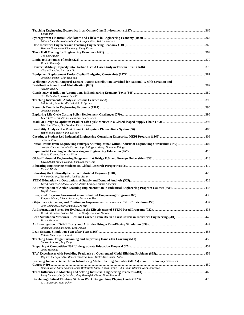| Letitia Pohl                                                                                                                                                                    |  |
|---------------------------------------------------------------------------------------------------------------------------------------------------------------------------------|--|
| Gillian Nicholls, Neal Lewis, Paul Componation, Ted Eschenbach                                                                                                                  |  |
| Heather Nachtmann, Kim Needy, Emily Evans                                                                                                                                       |  |
| Ted Eschenbach                                                                                                                                                                  |  |
|                                                                                                                                                                                 |  |
| Donald Kennedy                                                                                                                                                                  |  |
| Chiou-Guey Jan, Pei-Leen Liu                                                                                                                                                    |  |
| Joseph Hartman, Chin Hon Tan<br>Wellington Award Inaugural Lecture: Pareto Distribution Revisited for National Wealth Creation and                                              |  |
| Adedeji Badiru                                                                                                                                                                  |  |
| Ted Eschenbach, Jerome Lavelle                                                                                                                                                  |  |
| Md Rashid, Zane W. Mitchell, Eric P. Sprouls                                                                                                                                    |  |
|                                                                                                                                                                                 |  |
| Joseph Hartman                                                                                                                                                                  |  |
| Geert Letens, Baudouin Heuninckx, Peter Baelen                                                                                                                                  |  |
| Wu Hsun Chung, Gul Okudan, Richard Wysk                                                                                                                                         |  |
| Hsueh-Ming Steve Wang, Lei Yao                                                                                                                                                  |  |
| Jannette Perez                                                                                                                                                                  |  |
| Joseph Wilck, H. Lee Martin, Xueping Li, Rupy Sawhney, Gautham Rajappa                                                                                                          |  |
| Natalia Espino, Shamsnaz Virani                                                                                                                                                 |  |
| Layek Abdel-Malek, Hoang Pham, Sanchoy Das                                                                                                                                      |  |
| Venkat Allada                                                                                                                                                                   |  |
| Viviana Cesani, Alexandra Medina-Borja                                                                                                                                          |  |
| David Koonce, Jie Zhou, Valerie Martin-Conley, Cynthia Anderson                                                                                                                 |  |
| Wajdi Wazzan                                                                                                                                                                    |  |
| Ranjana Mehta, Eileen Van Aken, Fernando Aleu                                                                                                                                   |  |
| John Jackman, Doug Gemmill, K. Jo Min                                                                                                                                           |  |
| David Elizandro, Susan Elkins, Kim Needy, Brandon Malone                                                                                                                        |  |
| Bryan Norman                                                                                                                                                                    |  |
|                                                                                                                                                                                 |  |
| Juthamas Choomlucksana, Toni Doolen                                                                                                                                             |  |
| Valerie Maier-Speredelozzi                                                                                                                                                      |  |
| Sharon Johnson, Amy Zeng                                                                                                                                                        |  |
| Janis Terpenny                                                                                                                                                                  |  |
| Raghavi Merugureddy, Monica Cardella, Heidi Diefes-Dux, Amani Salim<br>Learning Impacts Gained from Introducing Model Eliciting Activities (MEAs) in an Introductory Statistics |  |
|                                                                                                                                                                                 |  |
| Natasa Vidic, Larry Shuman, Mary Besterfield-Sacre, Karen Bursic, Tuba Pinar Yildirim, Nora Siewiorek                                                                           |  |
| Larry Shuman, Carly Deibler, Mary Besterfield-Sacre, Nora Siewiorek                                                                                                             |  |
| C. Tim Hardin, John Usher                                                                                                                                                       |  |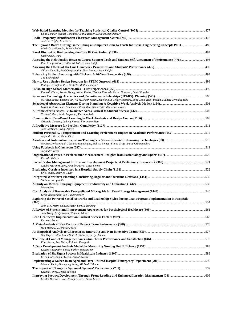| Doug Timmer, Miguel González, Connie Borror, Douglas Montgomery                                                                                    |  |
|----------------------------------------------------------------------------------------------------------------------------------------------------|--|
| Andrew Wright, Tali Freed                                                                                                                          |  |
| Alexis Ortiz-Rosario, Agustin Rullan                                                                                                               |  |
|                                                                                                                                                    |  |
| Shahrukh A. Irani<br>Paul Componation, Gillian Nicholls, Alison Knight                                                                             |  |
| Gillian Nicholls, Paul Componation, Neal Lewis, Alison Knight                                                                                      |  |
| Ted Eschenbach                                                                                                                                     |  |
| Phillip Farrington, P. J. Benfield, Matthew Turner                                                                                                 |  |
|                                                                                                                                                    |  |
| Kenneth Chelst, Robert Young, Karen Keene, Thomas Edwards, Karen Norwood, David Pugalee                                                            |  |
| M. Affan Badar, Yuetong Lin, Ali M. Shahhosseini, Xiaolong Li, Jeffrey McNabb, Ming Zhou, Rohit Bedida, Sudheer Jonnalagadda                       |  |
| Grisel Ventura-Luna, Arunkumar Pennathur, Samuel Riccillo, Louis Everett                                                                           |  |
|                                                                                                                                                    |  |
| Tracee Gilbert, Janis Terpenny, Sharnnia Artis                                                                                                     |  |
| Grisselle Centeno, Ludwig Kuznia, Florentino Rico                                                                                                  |  |
| John Jackman, Craig Ogilvie                                                                                                                        |  |
| Alejandro Teran, Tania Diaz                                                                                                                        |  |
| Melissa Dorlette Paul, Thashika Rupasinghe, Melissa Zelaya, Elaine Craft, Anand Gramopadhye                                                        |  |
|                                                                                                                                                    |  |
| Alejandro Teran                                                                                                                                    |  |
| Ricardo Valerdi                                                                                                                                    |  |
| Cecilia Martinez Leon, Jennifer Farris, Geert Letens                                                                                               |  |
| Erick Jones, Maurice Cavitt                                                                                                                        |  |
| Shrikant Jarugumilli                                                                                                                               |  |
| Menggi Hu                                                                                                                                          |  |
|                                                                                                                                                    |  |
| Kiran Rangarajan, Joe Guggenberger<br>Exploring the Power of Social Networks and Leadership Styles during Lean Program Implementation in Hospitals |  |
|                                                                                                                                                    |  |
| John McCreery, Lukasz Mazur, Lori Rothenberg                                                                                                       |  |
| Judy Wang, Cody Kamin, Wiljeana Glover                                                                                                             |  |
| Durward Sobek                                                                                                                                      |  |
| Wen-Hsing Liu, Jennifer Farris                                                                                                                     |  |
| Nur Ozge Ozaltin, Mary Besterfield-Sacre, Larry Shuman                                                                                             |  |
| Pilar Pazos, Anil Ustun, Rolando Delaguila                                                                                                         |  |
| Kalyan Pasupathy, Linsey Barker, Mustafa Sir                                                                                                       |  |
| Erick Jones, Angela Garza, Jaikrit Kandari                                                                                                         |  |
| Michael Zanin, Shengyong Wang, Michael Hillman                                                                                                     |  |
| Karima Tayeb, Denise Jackson                                                                                                                       |  |
|                                                                                                                                                    |  |
| Cecilia Martinez Leon, Jennifer Farris, Geert Letens                                                                                               |  |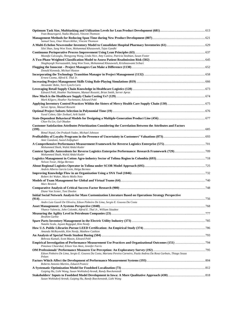| Yvan Beauregard, Nadia Bhuiyan, Vincent Thomson                                                                                   |      |
|-----------------------------------------------------------------------------------------------------------------------------------|------|
| Samuel Suss, Onur Hisarciklilar, Vincent Thomson                                                                                  |      |
| Silei Shan, Sang Won Yoon, Mohammad Khasawneh, Tejas Gandhi                                                                       |      |
| Mustafa Culcuoglu, Shengyong Wang, Linda Nice, Amy Caslow, Patricia Stedman, Susan Foster                                         |      |
| Shaghayegh Norouzzadeh, Sang Won Yoon, Mohammad Khasawneh, Krishnaswami Srihari                                                   |      |
| Donald Kennedy, Michael Huston                                                                                                    |      |
| Ernest Csoma, Alfred E. Thal Jr.                                                                                                  |      |
| Alexander Bohn, Terri Lynch-Caris                                                                                                 |      |
| Edward Pohl, Heather Nachtmann, Manuel Rossetti, Brian Smith, Server Apras                                                        |      |
| Mark Kilgore, Heather Nachtmann, Edward Pohl                                                                                      |      |
| Server Apras, Manuel Rossetti                                                                                                     |      |
| Yuval Cohen, Ofer Zwikael, Arik Sadeh                                                                                             |      |
| Chun-Yu Lin, Gul Okudan                                                                                                           |      |
| Customer Satisfaction Attributes Prioritization Considering the Correlation Between the Attributes and Factors                    |      |
| Bimal Nepal, Om Prakash Yadav, Michael Johnson                                                                                    |      |
| Amir Gandomi, Saeed Zolfaghari                                                                                                    |      |
| Mohammed Shaik, Walid Abdul-Kader                                                                                                 |      |
| Mohammed Shaik, Walid Abdul-Kader                                                                                                 |      |
| Nelson Tovar, Helga Bermeo                                                                                                        |      |
| Andrés Alberto García León, Helga Bermeo                                                                                          |      |
| Robert Ari Waker, Mario Mollo Neto                                                                                                |      |
| Marc Resnick                                                                                                                      |      |
| Diane Van Scoter, Toni Doolen                                                                                                     |      |
| Initial Social Network Analysis for Mass Customization Literature Based on Operations Strategy Perspective                        |      |
| Andre Luiz Gazoli De Oliveira, Edson Pinheiro De Lima, Sergio E. Gouvea Da Costa                                                  |      |
| Asset Management: A Systems Perspective (1048)                                                                                    | .768 |
| Vhance Valencia, John Colombi, Alfred E. Thal Jr., William Sitzabee                                                               |      |
| <b>Ibrahim Garbie</b>                                                                                                             |      |
| Natalie Scala, Jayant Rajgopal, Kim Needy<br>Amanda McReynolds, Kim Needy, Matthew Cashion                                        |      |
|                                                                                                                                   |      |
| Behrooz Kamali, Scott Mason, Edward Pohl                                                                                          |      |
| Pimsinee Chearskul, Eileen Van Aken, Jennifer Farris                                                                              |      |
| Edson Pinheiro De Lima, Sergio E. Gouvea Da Costa, Mariana Pereira Carneiro, Paula Andrea Da Rosa Garbuio, Thiago Souza<br>Pelaes |      |
|                                                                                                                                   |      |
| Roberto Antonio Martins, Eduard Prancic                                                                                           |      |
| Guiping Hu, Lizhi Wang, Susan Wohlsdorf-Arendt, Randy Boeckenstedt                                                                |      |
| Susan Wohlsdorf-Arendt, Guiping Hu, Randy Boeckenstedt, Lizhi Wang                                                                |      |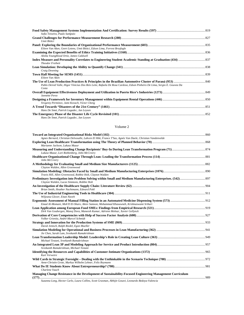| Umit Bititci<br>Eileen Van Aken, Geert Letens, Umit Bititci, Edson Lima, Forrest Breyfogle<br>Alisha Youngblood Ortiz, James Caldwell<br><b>Theodor Freiheit</b><br>Craig Downing<br>Eileen Van Aken<br>Pablo Deivid Valle, Higor Vinicius Dos Reis Leite, Rafaela De Rosa Cardoso, Edson Pinheiro De Lima, Sergio E. Gouvea Da<br>Costa<br>Jannette Perez |
|------------------------------------------------------------------------------------------------------------------------------------------------------------------------------------------------------------------------------------------------------------------------------------------------------------------------------------------------------------|
|                                                                                                                                                                                                                                                                                                                                                            |
|                                                                                                                                                                                                                                                                                                                                                            |
|                                                                                                                                                                                                                                                                                                                                                            |
|                                                                                                                                                                                                                                                                                                                                                            |
|                                                                                                                                                                                                                                                                                                                                                            |
|                                                                                                                                                                                                                                                                                                                                                            |
|                                                                                                                                                                                                                                                                                                                                                            |
|                                                                                                                                                                                                                                                                                                                                                            |
|                                                                                                                                                                                                                                                                                                                                                            |
|                                                                                                                                                                                                                                                                                                                                                            |
|                                                                                                                                                                                                                                                                                                                                                            |
|                                                                                                                                                                                                                                                                                                                                                            |
| Yevgeniy Perminov, Jami Kovach, Victor Cheng                                                                                                                                                                                                                                                                                                               |
| Hans De Smet, Patrick Lagadec, Jan Leysen                                                                                                                                                                                                                                                                                                                  |
| .                                                                                                                                                                                                                                                                                                                                                          |

#### *Hans De Smet, Patrick Lagadec, Jan Leysen*

### Volume 2

| Agnes Bernard, Christian Delvosalle, Lahcen El Hiki, France T'Sas, Agnès Van Daele, Christian Vandenvelde |  |
|-----------------------------------------------------------------------------------------------------------|--|
|                                                                                                           |  |
| Marianne Jackson, Lukasz Mazur                                                                            |  |
| Lukasz Mazur, Lori Rothenberg, John McCreery                                                              |  |
| John McCreery                                                                                             |  |
| Clayton Walden, Allen Greenwood                                                                           |  |
| Travis Hill, Allen Greenwood, Robbie Holt, Clayton Walden                                                 |  |
| Clayton Walden, Lucas Simmons, Robbie Holt                                                                |  |
| Brian Smith, Heather Nachtmann, Edward Pohl                                                               |  |
| Wiljeana Glover, Eitan Naveh                                                                              |  |
| Emad Al-Momani, Moh'D El-Sharo, Akiev Samson, Mohammad Khasawneh, Krishnaswami Srihari                    |  |
| Dirk Van Goubergen, Manoj Dora, Maneesh Kumar, Adrienn Molnar, Xavier Gellynck                            |  |
| Volker Grienitz, André-Marcel Schmidt                                                                     |  |
| David Jentsch, Ralph Riedel, Egon Mueller                                                                 |  |
| Jie Chen, Sarah Lam, Sreekanth Ramakrishnan                                                               |  |
| Michael Testani, Sreekanth Ramakrishnan                                                                   |  |
| Sreekanth Ramakrishnan, Michael Testani                                                                   |  |
| Kurt Verweire                                                                                             |  |
| Anne-Christin Grote, Markus Wilhelm Lehner, Felix Reymann                                                 |  |
| Charlene Yauch                                                                                            |  |
| Managing Change Resistance in the Development of Sustainability-Focused Engineering Management Curriculum |  |
| $\alpha$ rm $\alpha$ rm $\alpha$ $\alpha$ in $\alpha$ in $\alpha$ in $\alpha$                             |  |

*Suzanna Long, Hector Carlo, Laura Collins, Scott Grasman, Abhijit Gosavi, Leonardo Bedoya-Valencia*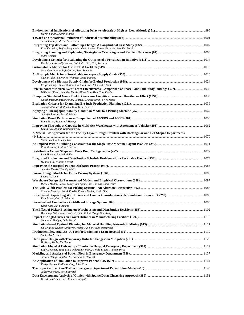| Steven Landry, Karen Marais                                                                                                                                                 |  |
|-----------------------------------------------------------------------------------------------------------------------------------------------------------------------------|--|
| Janet Twomey, Michael Overcash                                                                                                                                              |  |
|                                                                                                                                                                             |  |
| Kurt Verweire, Regine Slagmulder, Geert Letens, Eileen Van Aken, Jennifer Farris                                                                                            |  |
| Marc Resnick                                                                                                                                                                |  |
| Kwabena Owusu-Nyamekye, Balbinder Deo, Greg Halseth                                                                                                                         |  |
| Scott Grasman, Abhijit Gosavi, Sean Schmidt                                                                                                                                 |  |
| Qamar Iqbal, Lawrence Whitman, Janet Twomey                                                                                                                                 |  |
| Fengli Zhang, Dana Johnson, Mark Johnson, John Sutherland                                                                                                                   |  |
| Determinants of Kaizen Event Team Effectiveness: Comparison of Phase I and Full Study Findings (327) 1032<br>Wiljeana Glover, Jennifer Farris, Eileen Van Aken, Toni Doolen |  |
| Gowthaman Anantakrishnan, Vettrivel Gnaneswaran, Erick Jones                                                                                                                |  |
|                                                                                                                                                                             |  |
| Amarjit Bhullar, Balbinder Deo, Han Donker                                                                                                                                  |  |
| Jennifer Pazour, Russell Meller                                                                                                                                             |  |
| Banu Ekren, Sunderesh Heragu                                                                                                                                                |  |
| Debjit Roy, Ananth Krishnamurthy                                                                                                                                            |  |
| A New MILP Approach for the Facility Layout Design Problem with Rectangular and L/T Shaped Departments                                                                      |  |
| Yossi Bukchin, Michal Tzur                                                                                                                                                  |  |
| P. A. Brunese, J. M. A. Tanchoco                                                                                                                                            |  |
| Lisa Thomas, Russell Meller                                                                                                                                                 |  |
| Wennian Li, William Ferrell                                                                                                                                                 |  |
| Jennifer Farris, Timothy Matis                                                                                                                                              |  |
| Leon McGinnis                                                                                                                                                               |  |
|                                                                                                                                                                             |  |
| Russell Meller, Robert Curry, Jim Apple, Lisa Thomas, John White                                                                                                            |  |
| Corinne Mowrey, Pratik Parikh, Russell Meller, Kevin Gue                                                                                                                    |  |
| Don Taylor, Gary L. Whicker                                                                                                                                                 |  |
| Kevin Gue, Kai Furmans                                                                                                                                                      |  |
| Bhanuteja Sainathuni, Pratik Parikh, Xinhui Zhang, Nan Kong                                                                                                                 |  |
| Samantha Hedges, Dale Masel                                                                                                                                                 |  |
| Sai Srinivas Nageshwaraniyer, Young-Jun Son, Sean Dessureault                                                                                                               |  |
| Shahrukh A. Irani                                                                                                                                                           |  |
| Bo Zeng, Yu An, Yu Zhang                                                                                                                                                    |  |
|                                                                                                                                                                             |  |
| Eddy De Haas, Yang Liu, Sunderesh Heragu, Gerald Evans, Timothy Price                                                                                                       |  |
| Junwen Wang, Jingshan Li, Patricia K. Howard                                                                                                                                |  |
| Evelyn Brown, Kellie Keeling, John Kros                                                                                                                                     |  |
| Jeffery Cochran, Twila Burdick                                                                                                                                              |  |
| David Ben-Arieh, Deep Kumar Gullipalli                                                                                                                                      |  |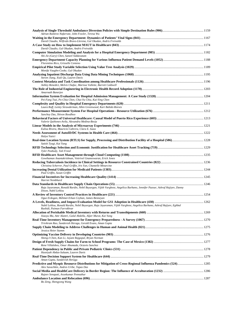| Adrian Ramirez Nafarrate, John Fowler, Teresa Wu                                                                                                     |  |
|------------------------------------------------------------------------------------------------------------------------------------------------------|--|
| David Claudio, Wilfredo Bravo-Llerena, Gul Okudan, Andris Freivalds                                                                                  |  |
| David Claudio, Gul Okudan, Andris Freivalds                                                                                                          |  |
| Shi-Jie (Gary) Chen, Saneel Siddavatam                                                                                                               |  |
| Florentino Rico, Grisselle Centeno                                                                                                                   |  |
| Monifa Vaughn-Cooke, Gul Okudan                                                                                                                      |  |
| Steven Jiang, Xiuli Qu, Lauren Davis                                                                                                                 |  |
| Ashley Benedict, Melvis Chafac, Marissa Vallette, Barrett Caldwell                                                                                   |  |
| Amarnath Banerjee                                                                                                                                    |  |
| Pei-Fang Tsai, Po-Chia Chen, Chui-Yu Chiu, Kai-Ying Chen                                                                                             |  |
| Laura Ruff, Lesley Strawderman, Allen Greenwood, Kari Babski-Reeves                                                                                  |  |
| Sanchoy Das, Shivon Boodhoo                                                                                                                          |  |
| Valerie Ouiñones-Avila, Alexandra Medina-Borja                                                                                                       |  |
| Eulisa Rivera, Mauricio Cabrera, Clara E. Isaza                                                                                                      |  |
| Hulya Yazici                                                                                                                                         |  |
| Satish Tyagi, Kai Yang                                                                                                                               |  |
| Tyler Peabody, Tali Freed                                                                                                                            |  |
|                                                                                                                                                      |  |
| Gowthaman Anantakrishnan, Vettrivel Gnaneswaran, Erick Jones<br>Christina Scherrer, Paul Griffin, Iris Yan, Chantelle Minarcine                      |  |
|                                                                                                                                                      |  |
| Paul Griffin, Susan Griffin                                                                                                                          |  |
| Harriet Nembhard                                                                                                                                     |  |
| Raja Jayaraman, Ronald Rardin, Nebil Buyurgan, Vijith Varghese, Angelica Burbano, Jennifer Pazour, Ashraf Hajiyev, Danny<br>Dixon, Nabil Lehlou      |  |
| Oguz Erdogan, Mehmet Erkan Ceyhan, James Benneyan                                                                                                    |  |
| Nabil Lehlou, Ronald Rardin, Nebil Buyurgan, Raja Jayaraman, Vijith Varghese, Angelica Burbano, Ashraf Hajiyev, Eghbal<br>Rashidi, Paiman Farrokhvar |  |
| Xiaoyu Ma, Amr Alamri, Galal Abdella, Alper Murat, Kai Yang                                                                                          |  |
| Trivikram Rao, Sunderesh Heragu, Gerald Evans, Aman Gupta                                                                                            |  |
| Jessica Heier Stamm                                                                                                                                  |  |
| Sheng-I Chen, Kan Li, Jayant Rajgopal, Bryan Norman                                                                                                  |  |
| Rene Villalobos, Omar Ahumada, Octavio Sanchez                                                                                                       |  |
| Husniyah Abdus-Salaam, Lauren Davis                                                                                                                  |  |
| Aman Gupta, Sunderesh Heragu                                                                                                                         |  |
| Alex Savachkin, Andres Uribe, Tapas Das                                                                                                              |  |
| Rajeev Senapati, Arunkumar Pennathur                                                                                                                 |  |
| Bo Zeng, Shengyong Wang                                                                                                                              |  |
|                                                                                                                                                      |  |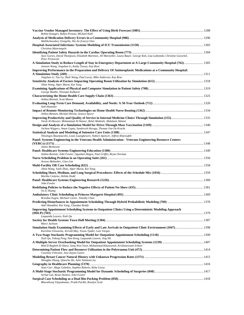| Rohita Kotagiri, Ruben Proano, Michael Kuhl                                                                                                                             |  |
|-------------------------------------------------------------------------------------------------------------------------------------------------------------------------|--|
| Mallikchowdary Yenigella, Shi-Jie (Gary) Chen                                                                                                                           |  |
| Christina Mastrangelo                                                                                                                                                   |  |
| Ayse Gurses, David Thompson, Elizabeth Martinez, Jill Marsteller, Laura Bauer, George Kim, Lisa Lubomski, Christine Goeschel,<br>Peter Pronovost                        |  |
| A Simulation Study to Reduce Length of Stay in Emergency Department at A Large Community Hospital (762) 1305<br>Junwen Wang, Jingshan Li, Kathy Tussey, Kay Ross        |  |
| Improving Performance in the Preparation and Delivery Of Antineoplastic Medications at a Community Hospital:                                                            |  |
| Jingshan Li, Tao Lu, Shuli Wang, Paul Lucas, Mike Anderson, Kay Ross<br>Jihan Wang, Alper Murat, Kai Yang                                                               |  |
| George Rumbe, Niranjan Kulkarni                                                                                                                                         |  |
| Ashlea Bennett, Scott Mason                                                                                                                                             |  |
| Seth Hostetler                                                                                                                                                          |  |
| Ashlea Bennett, Michael Hewitt, Jessica Spicer                                                                                                                          |  |
| Tarek Al-Hawari, Mohammad Al-Natour, Belal Ababneh, Abdulaziz Ahmed                                                                                                     |  |
| Jochem Wiggers, Aman Gupta, Sunderesh Heragu, Thomas Van De Kracht                                                                                                      |  |
| Theologos Bountourelis, Louis Luangkesorn, Nabors Spencer, Jeffrey Kharoufeh                                                                                            |  |
| Panel: Systems Engineering in the Veterans Health Administration - Veterans Engineering Resource Centers<br>James Benneyan                                              |  |
| Ashlea Bennett, John Fowler, Oguzhan Alagoz, Paul Griffin, Bryan Norman                                                                                                 |  |
| Arezou Mobasher, Gino Lim                                                                                                                                               |  |
| Jihan Wang, Yanli Zhao, Alper Murat, Kai Yang                                                                                                                           |  |
| Martha Centeno, Helida Dodd                                                                                                                                             |  |
| John Fowler                                                                                                                                                             |  |
| Yu-Li Huang                                                                                                                                                             |  |
| Brendan Eagen, Michael Carter, Timothy Chan                                                                                                                             |  |
| Adel Alaeddini, Kai Yang, Chandan Reddy                                                                                                                                 |  |
| Improving Appointment Scheduling Systems in Outpatient Clinics Using a Deterministic Modeling Approach<br>Laquanda Leaven, Xiuli Ou                                     |  |
| Marci Jackson                                                                                                                                                           |  |
| Simulation Study Examining Effects of Early and Late Arrivals in Outpatient Clinic Environment (1047) 1398<br>Karolina Glowacka, Jerrold May, Youxu Tjader, Luis Vargas |  |
| Xiuli Qu, Yidong Peng, Nan Kong, Laquanda Leaven, Jing Shi                                                                                                              |  |
| Moh'D Ragheb El-Sharo, Sang Won Yoon, Mohammad Khasawneh, Krishnaswami Srihari                                                                                          |  |
| Courtney Feliciani, Jose Zayas-Castro                                                                                                                                   |  |
| Shengfan Zhang, Qiaochu He, Julie Simmons Ivy                                                                                                                           |  |
| Sean Carr, Muge Gultekin, Stephen Roberts, Reha Uzsoy                                                                                                                   |  |
| Serhat Gul, Brian Denton, John Fowler                                                                                                                                   |  |
| Bharathwaj Vijayakumar, Pratik Parikh, Rosalyn Scott                                                                                                                    |  |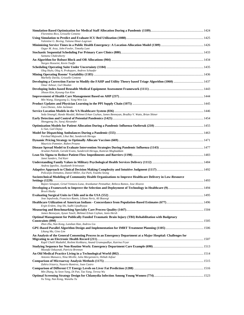| Florentino Rico, Grisselle Centeno                                                                                                                                                       |  |
|------------------------------------------------------------------------------------------------------------------------------------------------------------------------------------------|--|
| Valentine G. Boving, Tatiana Hmar-Lagroun                                                                                                                                                |  |
| Ozgur M. Araz, John Fowler, Timothy Lant                                                                                                                                                 |  |
|                                                                                                                                                                                          |  |
| Santanu Chakraborty                                                                                                                                                                      |  |
| Narges Hosseini, Kevin Taaffe                                                                                                                                                            |  |
| Oleg Shylo, Oleg A. Prokopyev, Andrew Schaefer                                                                                                                                           |  |
| Marbelly Davila, Grisselle Centeno                                                                                                                                                       |  |
| Omar Ashour, Gul Okudan                                                                                                                                                                  |  |
| Jihoon Kim, Kyoung-Yun Kim                                                                                                                                                               |  |
| Min Wang, Xiangyang Li, Yung-Wen Liu                                                                                                                                                     |  |
| Cara Dienes, John Jackman                                                                                                                                                                |  |
| Seda Sinangil, Hande Musdal, Mehmet Erkan Ceyhan, James Benneyan, Bradley V. Watts, Brian Shiner                                                                                         |  |
| Shengpeng Jin, Suraj Alexander                                                                                                                                                           |  |
| Li Sun, Gail Depuy                                                                                                                                                                       |  |
| Farshad Majzoubi, Lihui Bai, Sunderesh Heragu                                                                                                                                            |  |
| Mauricio Pommier, Ruben Proano                                                                                                                                                           |  |
| Arsalan Paleshi, Gerald Evans, Sunderesh Heragu, Kamran Moghaddam                                                                                                                        |  |
|                                                                                                                                                                                          |  |
| Janet Sanders, Ted Karr                                                                                                                                                                  |  |
| Andrea Ippolito, Jayakanth Srinivasan                                                                                                                                                    |  |
| Policarpo Demattos, Daniel Miller, Eui Park, Younho Seong<br>Sociotechnical Modeling of Community Health Organizations to Improve Healthcare Delivery in Low-Resource                    |  |
| Rajeev Senapati, Grisel Ventura-Luna, Arunkumar Pennathur, Rebeca Ramos, Jose Alvarez                                                                                                    |  |
| <b>Brock Husby</b>                                                                                                                                                                       |  |
| Jose Sepulveda, Francisco Ramis, Liliana Neriz, Ali Bozorgi                                                                                                                              |  |
| Ergin Erdem, Jing Shi, Sudhi Upadhyaya                                                                                                                                                   |  |
|                                                                                                                                                                                          |  |
| James Benneyan, Aysun Taseli, Mehmet Erkan Ceyhan, Janis Hersh<br>Optimal Management for Publically Funded Traumatic Brain Injury (TBI) Rehabilitation with Budgetary                    |  |
| Zhen Zhu, Nan Kong, Lanshan Han, Andrew Liu                                                                                                                                              |  |
| Likang Ma, Gino Lim                                                                                                                                                                      |  |
| An Analysis of the General Consenting Process in an Emergency Department at a Major Hospital: Challenges for<br>Kapil Chalil Madathil, Reshmi Koikkara, Anand Gramopadhye, Katrina Fryar |  |
| Mustafa Ozkaynak, Patricia Brennan                                                                                                                                                       |  |
|                                                                                                                                                                                          |  |
| Antonio Manueco, Nina Miville, Julia Morgenstern, Shihab Asfour                                                                                                                          |  |
| Zahíra Irizarry, Nazario Ramirez, Joan Castro                                                                                                                                            |  |
| Min Zhang, Su Seon Yang, Di Pan, Tao Yang, Teresa Wu                                                                                                                                     |  |
| Yu Teng, Nan Kong, Wanzhu Tu                                                                                                                                                             |  |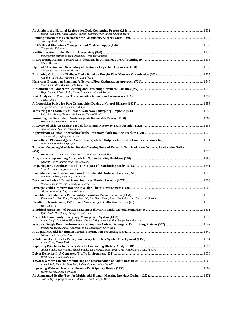| Reshmi Koikkara, Kapil Chalil Madathil, Katrina Fryar, Anand Gramopadhye                                   |  |
|------------------------------------------------------------------------------------------------------------|--|
| Jose Sepulveda, Ali Bozorgi                                                                                |  |
| Xiaoyu Ma, Kai Yang                                                                                        |  |
| Pavankumar Murali, Maged Dessouky, Fernando Ordonez                                                        |  |
| Chase Murray                                                                                               |  |
| Christina Young, Elsayed Elsayed                                                                           |  |
| Abdullah-Al Khaled, Mingzhou Jin, Lingfeng Li                                                              |  |
| Mohammad Reza Baharnemati, Gino Lim                                                                        |  |
| Hugh Medal, Edward Pohl, Chase Rainwater, Manuel Rossetti                                                  |  |
| Tayfur Altiok                                                                                              |  |
| Jessye Bemley, Lauren Davis, Xiuli Qu                                                                      |  |
| Leily Farrokhvar, Heather Nachtmann, Edward Pohl                                                           |  |
| Heather Nachtmann, Letitia Pohl                                                                            |  |
| Jingjing Tong, Heather Nachtmann                                                                           |  |
| Adam Montjoy, Jeffrey Herrmann                                                                             |  |
| Nabil Lehlou, Nebil Buyurgan                                                                               |  |
| Transient Queueing Models for Border Crossing Ports of Entry: A Non-Stationary Dynamic Reallocation Policy |  |
| Hiram Moya, Guy L. Curry, Richard M. Feldman, Don Phillips                                                 |  |
| Gregory Tauer, Rakesh Nagi, Moises Sudit                                                                   |  |
| Michelle Houck, Jeffrey Herrmann                                                                           |  |
| Maurice Jackson, Xiuli Qu, Lauren Davis                                                                    |  |
| Neil Rufenacht, Venkat Rohit Kota, Andrew Heier                                                            |  |
| Jihyun Jo, Mustafa Sir, Esra Sisikoglu                                                                     |  |
| Kyunghui Oh, Eric King, Chang-Geun Oh, Gyu Hyun Kwon, Tonya Smith-Jackson, Charles W. Bostian              |  |
| Hwi-Chie Ho                                                                                                |  |
| Kylie Nash, Han Zhang, Lesley Strawderman                                                                  |  |
| Angad Singh, Eric King, Nigel Wray, Mathew Milby, Alice Haskins, Tonya Smith-Jackson                       |  |
| Prasad Manohar, Daniel Anderson, Blake Thornberry, Chen Ling                                               |  |
| Giyeon Park, Celestine Ntuen                                                                               |  |
| Adam Piper, Carter Kerk                                                                                    |  |
| Jainee Patel, Sean Whetsel, Bhavik Patel, Justin Harris, Matt Teodori, Mary Beth Kurz, Scott Shappell      |  |
| Belal Alzoubi, Randa Shehab                                                                                |  |
| Anna Schuh, Fadel M. Megahed, Sudeep Conoor, Jaime Camelio                                                 |  |
| Steven Slover, Diana Schwerha                                                                              |  |
|                                                                                                            |  |
| Joseph Akyeampong, Silvanus Udoka, Eui Park, Wayne Book                                                    |  |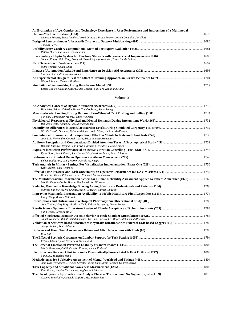| An Evaluation of Age, Gender, and Technology Experience in User Performance and Impressions of a Multimodal |  |
|-------------------------------------------------------------------------------------------------------------|--|
|                                                                                                             |  |
| Shannon Roberts, Bruce Mehler, Jarrod Orszulak, Bryan Reimer, Joseph Coughlin, Jim Glass                    |  |
|                                                                                                             |  |
| <b>Thomas Ferris</b>                                                                                        |  |
|                                                                                                             |  |
| Pallavi Dharwada, Anand Tharanathan                                                                         |  |
|                                                                                                             |  |
| Samuel Kantor, Eric King, Bradford Hassell, Hyung Nam Kim, Tonya Smith-Jackson                              |  |
|                                                                                                             |  |
| Marc Resnick, Azilah Baker                                                                                  |  |
|                                                                                                             |  |
| Maranda McBride, Celestine Ntuen                                                                            |  |
|                                                                                                             |  |
| Nikoo Sabzevar, Theodor Freiheit                                                                            |  |
|                                                                                                             |  |
| Emma Codjoe, Celestine Ntuen, Jules Chenou, Eui Park, Zongliang Jiang                                       |  |

| Hanniebey Wiyor, Celestine Ntuen, Younho Seong, Xinyu Zhang                                                       |  |
|-------------------------------------------------------------------------------------------------------------------|--|
|                                                                                                                   |  |
| Yun Sun, Christopher Moore, Ashish Nimbarte                                                                       |  |
|                                                                                                                   |  |
| Ranjana Mehta, Abhishek Rao, Michael Agnew                                                                        |  |
|                                                                                                                   |  |
| Nirathi Keerthi Govindu, Robin Littlejohn, David Close, Kari Babski-Reeves                                        |  |
|                                                                                                                   |  |
| Juan Luis Hernandez, Gabriel Ibarra, Brissa Agelica Armendariz                                                    |  |
|                                                                                                                   |  |
| Bankole Fasanya, Regina Pope-Ford, Maranda McBride, Celestine Ntuen                                               |  |
|                                                                                                                   |  |
| Ryan Blood, Patrik Rynell, Jack Dennerlein, Charlotte Lewis, Peter Johnson                                        |  |
|                                                                                                                   |  |
| Dileep Buddaraju, Craig Harvey, Gerald M. Knapp                                                                   |  |
|                                                                                                                   |  |
| Kelly Sprehn, Ling Rothrock                                                                                       |  |
|                                                                                                                   |  |
| Dahai Liu, Trevor Peterson, Dennis Vincenzi, Shawn Doherty                                                        |  |
| The Multidimensional Information System for Human Reliability Assessment Applied to Patient Adherence (1028) 1765 |  |
| Monifa Vaughn-Cooke, Harriet Nembhard, Jan Ulbrecht                                                               |  |
|                                                                                                                   |  |
| Marissa Vallette, Melvis Chafac, Ashley Benedict, Barrett Caldwell                                                |  |
|                                                                                                                   |  |
| Liang Wang, Barrett Caldwell                                                                                      |  |
|                                                                                                                   |  |
| John Tucker, Mary Burford, Alison Yeck, Kalyan Pasupathy, Linsey Barker                                           |  |
|                                                                                                                   |  |
| Yulin Wang, Barbara Millet                                                                                        |  |
|                                                                                                                   |  |
| Ashish Nimbarte, Rabab Alabdulmohsen, Yun Sun, Christopher Moore, Mohammed Alhassan                               |  |
|                                                                                                                   |  |
| Jeong Ho Kim, Peter Johnson                                                                                       |  |
|                                                                                                                   |  |
| B. J. Kim                                                                                                         |  |
|                                                                                                                   |  |
| Fehime Utkan, Tycho Fredericks, Steven Butt                                                                       |  |
|                                                                                                                   |  |
| Maria Velazquez, Gul E. Okudan Kremer, Andris Freivalds                                                           |  |
|                                                                                                                   |  |
| Yang Liu, Zongliang Jiang                                                                                         |  |
|                                                                                                                   |  |
| Juan Luis Hernandez, J. Nieves Serratos, Jorge Luis Garcia Alcaraz, Gabriel Ibarra                                |  |
|                                                                                                                   |  |
| Reza Karim, Kambiz Farahmand, Raghavan Srinivasan                                                                 |  |
|                                                                                                                   |  |
| Carmen Temblador, Graciela Caffarel, Mario Beruvides                                                              |  |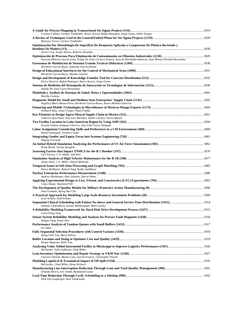| Cristina Collazo, Carmen Temblador, Nancy Aceves, Rafael Bourguet, Jorge Garza, Pablo Vargas<br>Mariana Torres, Carmen Temblador                                      |  |
|-----------------------------------------------------------------------------------------------------------------------------------------------------------------------|--|
| Optimización Por Metodología De Superficie De Respuesta Aplicada a Compuestos De Plástico Reciclado y                                                                 |  |
| Javier Cruz, Sergio Alonso, Roberto Zitzumbo<br>Azucena Minerva García-León, Felipe De Jesús Cerino-Córdova, Aracely Hernández-Ramírez, Juan Manuel Peralta-Hernández |  |
| Heriberto Garcia-Reyes, Eduardo Garcia-Dunna                                                                                                                          |  |
| Heriberto Garcia-Reyes, Martha Centeno                                                                                                                                |  |
| Elvira Navarro, Rafael Bourguet, Nancy Aceves, Jorge Garza                                                                                                            |  |
| Imelda De Jesus Loera-Hernandez                                                                                                                                       |  |
| Martha Centeno                                                                                                                                                        |  |
| Angelica Maria Baena-Porto, Heriberto Garcia-Reyes, Arturo Molina-Gutierrez                                                                                           |  |
| Wilmarie Rios, Josue Crespo, Vittal Prabhu                                                                                                                            |  |
| Gabriel López-Nava, José Luis Martínez, Judith Cavazos, Yesica Mayett                                                                                                 |  |
| Ernesto Fabian Sampayo Oliveros, Jose Fidel Torres Delgado                                                                                                            |  |
| David Vandegrift, Viviana Cesani                                                                                                                                      |  |
| <b>Magaly Preciado</b>                                                                                                                                                |  |
| Brian Heath, Jeremy Brogdon                                                                                                                                           |  |
| Carl Parson, J. O. Miller, Jeff Weir                                                                                                                                  |  |
| Anson Park, J. O. Miller, Daniel Mattioda                                                                                                                             |  |
| Deven McMaster, Rakesh Nagi, Kedar Sambhoos                                                                                                                           |  |
| Andrew Hackleman, Alan Johnson, Darryl Ahner                                                                                                                          |  |
| Casey Haase, Raymond Hill                                                                                                                                             |  |
| Paul Goethals, Byung Rae Cho                                                                                                                                          |  |
| Scott Schultz, Paul Fithian                                                                                                                                           |  |
| Santanu Chakraborty, Kumar Muthuraman, Mark Lawley                                                                                                                    |  |
| Loon-Ching Tang                                                                                                                                                       |  |
| Qingyu Yang, Yong Chen                                                                                                                                                |  |
| Ivo Adan                                                                                                                                                              |  |
| Shing-Chih Tsai, Barry Nelson                                                                                                                                         |  |
| Kumar Rajaram, Zhilli Tian                                                                                                                                            |  |
| Md Sarder, Tulio Sulbaran, Chad Miller                                                                                                                                |  |
| Clarence Howell, Martin Cala, Garrett Francis, Christopher Powell                                                                                                     |  |
| Md Sarder, Chad Miller, Brian Richard                                                                                                                                 |  |
| Orlando Rivera, Eric Smith, Ramakanth Gona                                                                                                                            |  |
| Dirk Van Goubergen, Wim Vandewalle                                                                                                                                    |  |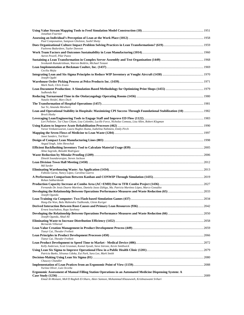| Jonathan Fournier                                                                                                                       |      |
|-----------------------------------------------------------------------------------------------------------------------------------------|------|
| Paul Componation, Sampson Gholston, Sushil Shetty                                                                                       |      |
| Fazleena Badurdeen, Taylor Dawson                                                                                                       |      |
| Aaron Powell, Pilar Pazos                                                                                                               |      |
| Sreekanth Ramakrishnan, Warren Boldrin, Michael Testani                                                                                 |      |
|                                                                                                                                         |      |
| Cecilia Mejia<br>Joseph Ogabi                                                                                                           |      |
| Mark Nash, Chris Evans                                                                                                                  |      |
| Sudhendu Rai                                                                                                                            |      |
| Natalie Heidel, Mary Duck                                                                                                               |      |
| Sue Te, Amanda Mewborn                                                                                                                  |      |
| Lean and Operational Stability in Hospitals: Maximizing CPI Success Through Foundational Stabilization (10)  1982<br><b>Brock Husby</b> |      |
| Lori Pelletier, Tze Chao Chiam, Lisa Colombo, Lucille Force, Nicholas Comeau, Lisa Allen, Robert Klugman                                |      |
|                                                                                                                                         |      |
| Varun Venkateswaran, Laura Hughes Ikuma, Isabelina Nahmens, Emily Pirch<br>Janet Sanders, Ted Karr                                      |      |
| Angad Singh, John Shewchuk                                                                                                              |      |
|                                                                                                                                         |      |
| Alma Sagredo, Betzabé Rodríguez                                                                                                         |      |
| Dinesh Soundararajan, Steven Jackson                                                                                                    |      |
| Md Sarder                                                                                                                               |      |
| Fabiola Garza, Nancy López, Carolina Guerra                                                                                             |      |
| Rohan Sakhardande                                                                                                                       |      |
| Fernando De Jesús Duarte Martínez, Daniela Jasso Zúñiga, Ma. Patricia Martínez López, Marco González                                    |      |
| Joseph Ogundu                                                                                                                           |      |
| Hung-Da Wan, Balu Mahendra Tadikonda, Glenn Kuriger                                                                                     |      |
| Ernest Iwuchukwu, Rupy Sawhney                                                                                                          | 2042 |
| Joseph Ogundu, Ahad Ali                                                                                                                 |      |
| Bernardo Villareal                                                                                                                      |      |
| Tianyi Cai, Theodor Freiheit                                                                                                            |      |
| Tianyi Cai, Theodor Freiheit                                                                                                            |      |
| Kelly Anderson, Scott Grasman, Kamal Ayoub, Steve Introne, Kevin Smithwick                                                              |      |
| Patricia Banks, Silvanus Udoka, Eui Park, Sara Lee, Mark Smith                                                                          |      |
|                                                                                                                                         |      |
| Chaucey Chandler                                                                                                                        |      |
| Yuritza Oliver, Luis Occeña<br>Ergonomic Assessment of Manual Filling Station Operations in an Automated Medicine Dispensing System: A  |      |
| Emad Al-Momani, Moh'D Ragheb El-Sharo, Akiev Samson, Mohammad Khasawneh, Krishnaswami Srihari                                           |      |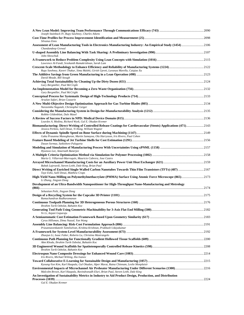| Joseph Stainback IV, Rupy Sawhney, Charles Aikens                                                                                                                           |  |
|-----------------------------------------------------------------------------------------------------------------------------------------------------------------------------|--|
| <b>Silvanus Enns</b>                                                                                                                                                        |  |
| Assessment of Lean Manufacturing Tools in Electronics Manufacturing Industry: An Empirical Study (1454)2106<br>Chandandeep Grewal                                           |  |
| John Shewchuk                                                                                                                                                               |  |
| Lawrence Al-Fandi, Sreekanth Ramakrishnan, Sarah Lam                                                                                                                        |  |
| Rupy Sawhney, Kaveri Thakur, Sima Maleki, Girish Upreti, Lavanya Marella, Caiqiao Xu                                                                                        |  |
|                                                                                                                                                                             |  |
| David Meade, Bill Stough<br>Gary Bergmiller, Paul McCright                                                                                                                  |  |
|                                                                                                                                                                             |  |
| Gary Bergmiller, Paul McCright                                                                                                                                              |  |
| Arsalan Safari, Brian Cozzarin<br>Narasimha Nagaiah, Christopher Geiger                                                                                                     |  |
|                                                                                                                                                                             |  |
| Robbie Gildenblatt, Dale Masel                                                                                                                                              |  |
| Lourdes A. Medina, Richard Wysk, Gul E. Okudan Kremer<br>Biomanufacturing: Direct-Writing of Controlled Release Coatings for Cardiovascular (Stents) Applications (471)2143 |  |
| Jessica Perkins, Salil Desai, Yi Hong, William Wagner                                                                                                                       |  |
| Guha Prasanna Manogharan, Martin Samayoa, Ola Harrysson, Iris Rivero, Paul Cohen                                                                                            |  |
| Dusan Sormaz, Saikishore Pulugurta                                                                                                                                          |  |
| Hyunsoo Lee, Amarnath Banerjee                                                                                                                                              |  |
| María G. Villarreal-Marroquín, Mauricio Cabrera, Jose Castro                                                                                                                |  |
| Babak Lajevardi, Steven Leith, Dale King, Brian Paul                                                                                                                        |  |
| Direct Writing of Enriched Single-Walled Carbon Nanotubes Towards Thin Film Transistors (TFTs) (487) 2167<br>Taye Esho, Salil Desai, Matthew Craps                          |  |
| High-Yield Nano-Milling on Polymethylmethacrylate (PMMA) Surface Using Atomic Force Microscope (865)2173<br>Li Zhang, Jingyan Dong                                          |  |
| Development of an Ultra-Bandwidth Nanopositioner for High-Throughput Nano-Manufacturing and Metrology                                                                       |  |
| Sebastian Polit, Jingyan Dong                                                                                                                                               |  |
| Ramachandran Radharamanan                                                                                                                                                   |  |
| Ibrahim Tarik Ozbolat, Bahattin Koc                                                                                                                                         |  |
| Ye Li, Anjani Goparaju                                                                                                                                                      |  |
|                                                                                                                                                                             |  |
| Cyrus Hillsman, Dima Nazzal, Yan Wang                                                                                                                                       |  |
| Prasannavenkatesh Tamilselvan, Krishna Krishnan, Prakhash Udayakumar                                                                                                        |  |
| Zhaojun Li, Isaac Faber, Roberto Lu, Christina Mastrangelo                                                                                                                  |  |
| Akm Khoda, Ibrahim Tarik Ozbolat, Bahattin Koc                                                                                                                              |  |
| Ibrahim Tarik Ozbolat, Bahattin Koc                                                                                                                                         |  |
| Iris Rivero, Michael Wilting, Ilia Ivanov                                                                                                                                   |  |
| Kyoung-Yun Kim, Karl Haapala, Gul Okudan, Alper Murat, Ratna Chinnam, Leslie Monplaisir                                                                                     |  |
| Malcolm Brown, Karl Haapala, Ravindranadh Eluri, Brian Paul, Steven Leith, Dale King                                                                                        |  |
| An Investigation of Sustainability Metrics in Industry to Aid Product Design, Production, and Distribution                                                                  |  |
| Gul E. Okudan Kremer                                                                                                                                                        |  |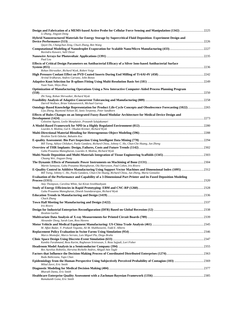| Design and Fabrication of a MEMS-based Active Probe for Cellular Force Sensing and Manipulation (1342) 2225<br>Li Zhang, Jingyan Dong                                                                            |  |
|------------------------------------------------------------------------------------------------------------------------------------------------------------------------------------------------------------------|--|
| Hybrid Nanostructured Materials for Energy Storage by Supercritical Fluid Deposition: Experiment Design and                                                                                                      |  |
| Quyet Do, Changchun Zeng, Chuck Zhang, Ben Wang                                                                                                                                                                  |  |
| Ravindra Kaware, Salil Desai<br>Paul Leu                                                                                                                                                                         |  |
| Effects of Critical Design Parameters on Antibacterial Efficacy of a Silver Ions-based Antibacterial Surface<br>Rohan Shirwaiker, Richard Wysk, Robert Voigt                                                     |  |
| Arvind Sridharan, Andres Carrano, John Bonzo                                                                                                                                                                     |  |
| Yuan Yuan, Shiyu Zhou                                                                                                                                                                                            |  |
| Optimization of Manufacturing Operations Using a New Interactive Computer-Aided Process Planning Program                                                                                                         |  |
| Zhi Yang, Rohan Shirwaiker, Richard Wysk                                                                                                                                                                         |  |
| Darrell Wallace, Brian Vukasanovich, Michael Garvey                                                                                                                                                              |  |
| Ontology-Based Knowledge Representation for Product Life-Cycle Concepts and Obsolescence Forecasting (1022)2265<br>Liyu Zheng, Raymond Nelson III, Janis Terpenny, Peter Sandborn                                |  |
| Effects of Rules Changes on an Integrated Fuzzy-Based Modular Architecture for Medical Device Design and                                                                                                         |  |
| Celestine Aguwa, Leslie Monplaisir, Prasanth Sylajakumari                                                                                                                                                        |  |
| Lourdes A. Medina, Gul E. Okudan Kremer, Richard Wysk                                                                                                                                                            |  |
| Ibrahim Tarik Ozbolat, Bahattin Koc                                                                                                                                                                              |  |
|                                                                                                                                                                                                                  |  |
| Bill Tseng, Aditya Chilukuri, Paola Gandara, Richard Chiou, Johnny C. Ho, Chun-Che Huang, Jun Zheng                                                                                                              |  |
| Guha Prasanna Manogharan, Lourdes A. Medina, Richard Wysk                                                                                                                                                        |  |
| Chuang Wei, Jingyan Dong                                                                                                                                                                                         |  |
| Martin Samayoa, Guha Prasanna Manogharan, Ola Harrysson, Paul Cohen, Iris Rivero                                                                                                                                 |  |
| E-Quality Control in Additive Manufacturing Using Support Vector Machines and Dimensional Index (1095) 2312<br>Bill Tseng, Johnny C. Ho, Paola Gandara, Chun-Che Huang, Richard Chiou, Jun Zheng, Maria Gonzalez |  |
| Evaluation of the Performance and Capability of a 3-Dimensional Part Printer and its Fused Deposition Modeling                                                                                                   |  |
| Amy Thompson, Carolina White, Sai Kiran Sreebhashyam                                                                                                                                                             |  |
|                                                                                                                                                                                                                  |  |
| Guha Prasanna Manogharan, Dinesh Soundararajan, Richard Wysk                                                                                                                                                     |  |
| Chuck Zhang                                                                                                                                                                                                      |  |
| Iris Rivero                                                                                                                                                                                                      |  |
| <b>Ibrahim Garbie</b>                                                                                                                                                                                            |  |
| Alexander Dong, Sarah Lam, Ross Havens                                                                                                                                                                           |  |
| M. Affan Badar, V. Prakash Vegunta, Ali M. Shahhosseini, Todd E. Alberts                                                                                                                                         |  |
| Marco Montufar, Marco Serrato, Luis Miguel Pla, Diego Braña                                                                                                                                                      |  |
| Kambiz Farahmand, Reza Karim, Raghavan Srinivasan, S. Reza Sajjadi, Lori Fisher                                                                                                                                  |  |
| Rex Aurelius Robielos, Herwina Richelle Andres, Abigail Ann Tagle                                                                                                                                                |  |
| Radu Babiceanu, Yupo Chan                                                                                                                                                                                        |  |
| Milad Zarei, Eric Smith                                                                                                                                                                                          |  |
| Bharath Dantu, Eric Smith                                                                                                                                                                                        |  |
| Ramakanth Gona, Eric Smith                                                                                                                                                                                       |  |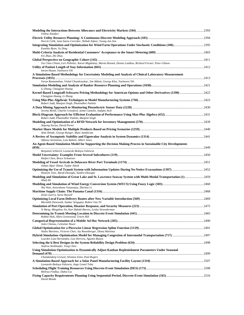| Vishnu Nanduri                                                                                                                                |      |
|-----------------------------------------------------------------------------------------------------------------------------------------------|------|
| Nurcin Celik, Juan Saenz Corredor, Shihab Asfour, Young-Jun Son                                                                               |      |
| Eunshin Byon, Yu Ding                                                                                                                         |      |
| Fei Zhao, Zhi Zhou                                                                                                                            |      |
| Tze Chao Chiam, Lori Pelletier, Karen Migdelany, Martin Reznek, Dennis Laidlaw, Richard Forster, Peter Gibson                                 |      |
| Imran Hasan, Yuehwern Yih                                                                                                                     |      |
| A Simulation-Based Methodology for Uncertainty Modeling and Analysis of Clinical Laboratory Measurement                                       |      |
| Varun Ramamohan, Vishal Chandrasekar, Jim Abbott, George Klee, Yuehwern Yih                                                                   |      |
| Li Zhang, Changjian Huang                                                                                                                     |      |
| Kernel-Based Longstaff-Schwartz Pricing Methodology for American Options and Other Derivatives (1290) 2422<br>Changjian Huang, Li Zhang       |      |
| Robert Judd, Manjeet Singh, Phanindher Patlola                                                                                                |      |
| Jeremy Rickli, Charlie Crawford, Jaime Camelio, Sudipto Aich                                                                                  |      |
| Robert Judd, Phanindher Patlola, Manjeet Singh                                                                                                |      |
| Atipong Suriya, David Porter                                                                                                                  |      |
| Amit Shinde, George Runger, Mani Janakiram                                                                                                    |      |
| Alfonso Sarmiento, Luis Rabelo, Albert Jones                                                                                                  |      |
| An Agent-Based Simulation Model for Supporting the Decision Making Process in Sustainable City Developments                                   |      |
| Benjamin Schleich, Leonardo Bedoya-Valencia                                                                                                   |      |
| Huifen Chen, Bruce Schmeiser                                                                                                                  |      |
| Ozhan Alper Almaz, Tayfur Altiok                                                                                                              |      |
| Huseyin Tunc, Burak Eksioglu, Sandra Eksioglu                                                                                                 |      |
| Modeling and Simulation of Great Lake and St. Lawrence Seaway System with Multi-Modal Transportation (1)2459<br>Ahad Ali                      |      |
| Shu Wan, Anweshana Vaizasatya, Zhichao Li                                                                                                     |      |
| Zoila Guerra, Sarai Hassell                                                                                                                   |      |
| Meredith Deneweth, Sankar Sengupta, Robert Van Til                                                                                            |      |
| Simulation of Port Operation, Disaster Response, and Security Measures (223)<br>Si Meng, Mingzhou Jin, Kari Babski-Reeves, Lesley Strawderman | 2475 |
| Robbie Holt, Allen Greenwood, Travis Hill                                                                                                     |      |
| Jules Chenou, Celestine Ntuen                                                                                                                 |      |
| Nadia Martinez, Victoria Chen, Jay Rosenberger, Diana Martinez                                                                                |      |
| Lourdes Loza Hernández, Luis Herrera, Agustin Bustos                                                                                          |      |
| Andrew Kiekhaefer, Yong Chen                                                                                                                  |      |
| Using Simulation-Optimization to Dynamically Adjust Kanban Replenishment Parameters Under Seasonal                                            |      |
| Chandandeep Grewal, Silvanus Enns, Paul Rogers                                                                                                |      |
| Leonardo Bedoya-Valencia, Ange Lionel Toba                                                                                                    |      |
| Melissa Findlay, Dahai Liu                                                                                                                    |      |
| David Meade                                                                                                                                   |      |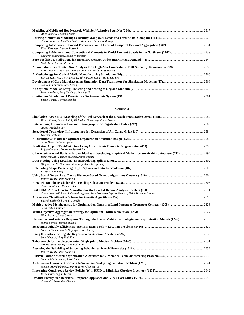| Jules Chenou, Celestine Ntuen                                    |  |
|------------------------------------------------------------------|--|
|                                                                  |  |
| Tricia Fremouw, Jonathan Easto, Brian Babo, Reinaldo Moraga      |  |
| Vijith Varghese, Manuel Rossetti                                 |  |
| Cameron Mackenzie, Steven Winterstein                            |  |
| Yasin Unlu. Manuel Rossetti                                      |  |
| Aaron Stayer, Sarah Lam, John Syron, Victor Barba, Ross Havens   |  |
| Ren Jie Keith Ho, Corwin Huang, Yihong Lan, Kang Ning Tracie Teo |  |
| Jonathan Fournier, Swee Leong                                    |  |
| Isaac Atuahene, Rupy Sawhney, Xueping Li                         |  |
| Diego Gomez, Germán Méndez                                       |  |

| Birnur Ozbas, Tayfur Altiok, Michael R. Greenberg, Karen Lowrie                                                                            |  |
|--------------------------------------------------------------------------------------------------------------------------------------------|--|
| James Wendelberger                                                                                                                         |  |
| Grayson McClain                                                                                                                            |  |
| Jesus Mena, Chin-Sheng Chen                                                                                                                |  |
| Rajesh Ganesan, Poornima Balakrishna                                                                                                       |  |
| Raymond Hill, Thomas Talafuse, Jaime Bestard                                                                                               |  |
| Qingwei Jin, Ye Tian, John E. Lavery, Shu-Cherng Fang                                                                                      |  |
| Lu Yu, Zhibin Deng                                                                                                                         |  |
| Patrick Wanko, Paul Stanfield                                                                                                              |  |
| Timur Keskinturk, Yonca Erdem                                                                                                              |  |
| Carlos Ituarte-Villarreal, Oswaldo Aguirre, Jose Francisco Espiritu Nolasco, Heidi Taboada Jimenez                                         |  |
| Darrell Lochtefeld, Frank Ciarallo                                                                                                         |  |
| Jesus Cohen Jimenez                                                                                                                        |  |
| Nitin Sharma, James Swain                                                                                                                  |  |
| Humanitarian-Logistics Response Through the Use of Mobile Technologies and Optimization Models (1249) 2628<br>Marco Serrato, Roman Murillo |  |
| Sunarin Chanta, Maria Mayorga, Laura McLay                                                                                                 |  |
| Sean Whetsel, Mary Beth Kurz                                                                                                               |  |
| Ornurai Sangsawang, Mary Beth Kurz                                                                                                         |  |
| Patrick Wanko, Paul Stanfield                                                                                                              |  |
| Shanthi Muthuswamy, Sarah Lam                                                                                                              |  |
| Mahyar Movahednejad, Amir Sanayei, Alper Murat                                                                                             |  |
| Erick Jones, Angela Garza                                                                                                                  |  |
| Cassandra Sotos, Gul Okudan                                                                                                                |  |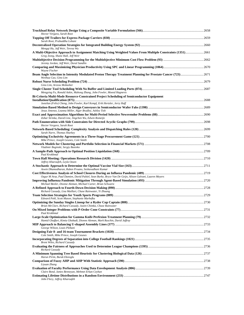| Hector Vergara, Sarah Root                                                                                                                                        |  |
|-------------------------------------------------------------------------------------------------------------------------------------------------------------------|--|
| Sarah Root, Prabuddha Lohani                                                                                                                                      |  |
| Mengqi Hu, Jeff Weir, Teresa Wu                                                                                                                                   |  |
| A Multi-Objective Approach to Assignment Matching Using Weighted Values From Multiple Constraints (1351) 2661                                                     |  |
| Greg Jeong, Shane Hall, Jeff Weir                                                                                                                                 |  |
| Jeremy Jordan, Jeff Weir, Doral Sandlin                                                                                                                           |  |
| Wayne Fischer<br>Beam Angle Selection in Intensity Modulated Proton Therapy Treatment Planning for Prostate Cancer (723)  2671                                    |  |
| Wenhua Cao, Gino Lim                                                                                                                                              |  |
| Gino Lim, Arezou Mobasher                                                                                                                                         |  |
| Mengying Fu, Ronald Askin, Muhong Zhang, John Fowler, Moeed Hagnevis<br>Bi-Criteria Multi-Mode Resource-Constrained Project Scheduling of Semiconductor Equipment |  |
| Junzilan (Felix) Cheng, John Fowler, Karl Kempf, Erik Hertzler, Jerry Huff                                                                                        |  |
| Jesus Jimenez, Leanna Miller, Alger Bradley, Ashley Tish                                                                                                          |  |
| Zohar Strinka, David Linz, Jingchen Wu, Edwin Romeijn                                                                                                             |  |
| Hector Vergara, Sarah Root                                                                                                                                        |  |
| Sarah Nurre, Thomas Sharkey                                                                                                                                       |  |
| Mike Prince, Joseph Geunes, Cole Smith                                                                                                                            |  |
| Vladimir Boginski, Sergiy Butenko                                                                                                                                 |  |
| Paul Krokhmal                                                                                                                                                     |  |
|                                                                                                                                                                   |  |
| Jeffrey Kharoufeh, Leyla Ozsen                                                                                                                                    |  |
| Aswin Dhamodharan, Ruben Proano, Seshavadhani Kumar                                                                                                               |  |
| Ozgur M Araz, Paul Damien, David Paltiel, Sean Burke, Bryce Van De Geijn, Alison Galvani, Lauren Meyers                                                           |  |
| Michael Beeler, Dionne Aleman, Michael Carter, Brian Schwartz                                                                                                     |  |
| Richard Cassady, Lisa Maillart, Chase Rainwater, Yi Zhuang                                                                                                        |  |
| Edward Pohl, Scott Mason, Stephanie Marhefka                                                                                                                      |  |
| Brian McClure, Richard Cassady, Justin Chimka, Chase Rainwater                                                                                                    |  |
| Paul Krokhmal                                                                                                                                                     |  |
| Hamid Ghaffari, Kimia Ghobadi, Dionne Aleman, Mark Ruschin, David Jaffray                                                                                         |  |
| George Wilson, Louis Plebani                                                                                                                                      |  |
| Cole Smith, Mike Prince, Joseph Geunes                                                                                                                            |  |
| Brent Wiles, Richard Cassady                                                                                                                                      |  |
| Richard Cassady                                                                                                                                                   |  |
| Harun Pirim, Burak Eksioglu                                                                                                                                       |  |
| Liyuan Zhang                                                                                                                                                      |  |
| Claire Bond, James Benneyan, Mehmet Erkan Ceyhan                                                                                                                  |  |
| John Flory, Jeffrey Kharoufeh                                                                                                                                     |  |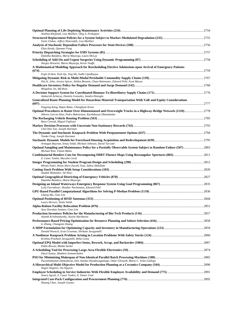| Anahita Khojandi, Lisa Maillart, Oleg A. Prokopyev                                                                                                                                                                         |      |
|----------------------------------------------------------------------------------------------------------------------------------------------------------------------------------------------------------------------------|------|
| Yasin Ulukus, Jeffrey Kharoufeh, Lisa Maillart                                                                                                                                                                             |      |
| Elias Keedy, Qianmei Feng                                                                                                                                                                                                  |      |
|                                                                                                                                                                                                                            |      |
| Damitha Bandara, Maria Mayorga, Laura McLay<br>Narges Hosseini, Maria Mayorga, Kevin Taaffe                                                                                                                                |      |
| A Mathematical Modeling Approach for Rescheduling Elective Admissions upon Arrival of Emergency Patients                                                                                                                   |      |
| Ergin Erdem, Xiuli Ou, Jing Shi, Sudhi Upadhyaya                                                                                                                                                                           |      |
| Dia St. John, Jessica Spicer, Ashlea Bennett, Chase Rainwater, Edward Pohl, Scott Mason<br>Mingzhou Jin, Md Roni                                                                                                           |      |
| Ambarish Acharya, Daniela Gonzales, Sandra Eksioglu                                                                                                                                                                        |      |
| Generalized Route Planning Model for Hazardous Material Transportation With VaR and Equity Considerations                                                                                                                  |      |
| Yingying Kang, Rajan Batta, Changhyun Kwon<br>Optimal Procedures to Route Over-Dimensionsed and Overweight Trucks in a Highway-Bridge Network (1210)2778<br>Alberto Garcia-Diaz, Pedro Balestrassi, Karthikeyan Dhanabalan |      |
| Ryan Conrad, Miguel Figliozzi                                                                                                                                                                                              |      |
| Chin Hon Tan, Joseph Hartman                                                                                                                                                                                               |      |
| Tianke Feng, Joseph Hartman                                                                                                                                                                                                |      |
| Armagan Bayram, Senay Solak, Michael Johnson, David Turcotte                                                                                                                                                               |      |
| Optimal Sampling and Maintenance Policy for a Partially Observable System Subject to Random Failure (507) 2803<br>Michael Kim, Viliam Makis                                                                                |      |
| Z. Caner Taskin, Mucahit Cevik                                                                                                                                                                                             |      |
| Minnie Patel, Hsiao-Shen (Jacob) Tsao, Zahra Abdollahi                                                                                                                                                                     |      |
| Azadeh Mobasher, Ali Ekici                                                                                                                                                                                                 |      |
| Damitha Bandara, Maria Mayorga                                                                                                                                                                                             |      |
| Leily Farrokhvar, Heather Nachtmann, Edward Pohl                                                                                                                                                                           |      |
| Likang Ma, Gino Lim                                                                                                                                                                                                        |      |
| Laura Hervert, Neale Smith                                                                                                                                                                                                 |      |
| Alpha-Robust Facility Relocation Problem (876).<br>Ayse Durukan Sonmez, Gino Lim                                                                                                                                           | 2851 |
| Ananth Krishnamurthy, Aswini Hariharan                                                                                                                                                                                     |      |
| Li Zhang, Changjian Huang                                                                                                                                                                                                  |      |
| Donald Wunsch, Scott Grasman, Shrikant Jarugumilli                                                                                                                                                                         |      |
| Krishna Prashant Jarugumilli, Reha Uzsoy                                                                                                                                                                                   |      |
| Pablo Biswas, Bhaba Sarker                                                                                                                                                                                                 |      |
| Daryl Santos, Matthew Sommerhalter                                                                                                                                                                                         |      |
| Purushothaman Damodaran, Don Asanka Diyadawagamage, Omar Ghrayeb, Mario C. Velez-Gallego                                                                                                                                   |      |
| Nagen Nagarur, Du Nguyen                                                                                                                                                                                                   |      |
| Semra Agrali, Z. Caner Taskin, A. Tamer Unal                                                                                                                                                                               |      |
| Shuang Chen, Joseph Geunes                                                                                                                                                                                                 |      |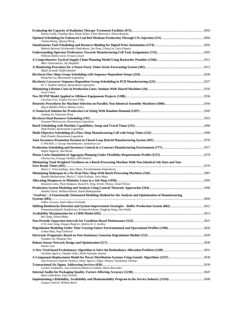| Ridvan Gedik, Chunhua Men, Ehsan Salari, Chase Rainwater, Edwin Romeijn                                                                                                         |      |
|---------------------------------------------------------------------------------------------------------------------------------------------------------------------------------|------|
| Yuping Huang, Qipeng Zheng                                                                                                                                                      |      |
| Mukesh Agrawal, Krishnendu Chakrabarty, Jun Zeng, I-Jong Lin, Gary Dispoto                                                                                                      |      |
|                                                                                                                                                                                 |      |
| Wilfredo Robles-León, Viviana Cesani<br>Marc Goetschalckx, Aly Megahed                                                                                                          |      |
|                                                                                                                                                                                 |      |
| Majid Jaraiedi, Wafik Iskander                                                                                                                                                  |      |
| Dongchen Lu, Rasaratnam Logendran                                                                                                                                               |      |
| M. T. Yazdani Sabouni, Rasaratnam Logendran                                                                                                                                     |      |
| Yuval Cohen                                                                                                                                                                     |      |
| Carolina Cruz, Virgilio Ferreira Filho                                                                                                                                          |      |
| Mayra Méndez-Piñero, Melitza Colon                                                                                                                                              |      |
|                                                                                                                                                                                 |      |
| Junfang Yu, Yuanyuan Dong                                                                                                                                                       |      |
| Yasaman Mehravaran, Rasaratnam Logendran                                                                                                                                        |      |
| Hadi Panahi, Rasaratnam Logendran                                                                                                                                               |      |
| Hadi Panahi, Rasaratnam Logendran                                                                                                                                               |      |
| S. Phil Kim, J. George Shanthikumar, Seokcheon Lee                                                                                                                              |      |
|                                                                                                                                                                                 |      |
| Nagen Nagarur, Atul Beedu                                                                                                                                                       |      |
| Churlzu Lim, Ertunga Ozelkan, Edil Demirel<br>Minimizing Total Weighted Tardiness on a Batch-Processing Machine With Non-Identical Job Sizes and Non-                           |      |
|                                                                                                                                                                                 |      |
| Mario C. Velez-Gallego, Jairo Maya, Purushothaman Damodaran                                                                                                                     |      |
| Shanthi Muthuswamy, Mario C. Velez-Gallego, Jairo Maya                                                                                                                          |      |
| Benjamin Lobo, Thom Hodgson, Russell E. King, Kristin Thoney, James Wilson                                                                                                      |      |
| Shankar Earni, William Kolarik, Satish Bukkapatnam                                                                                                                              |      |
| "GraFem", A Functionally Orientated Modeling Method for the Analysis and Optimization of Manufacturing                                                                          |      |
| Volker Grienitz, André-Marcel Schmidt                                                                                                                                           |      |
| Shifting Bottlenecks Detection and System Improvement Strategies - Buffer Production System (882)<br>Prasannavenkatesh Tamilselvan, Krishna Krishnan, Pingfeng Wang, Devi Kalla | 3012 |
|                                                                                                                                                                                 |      |
| Rui Jiang, Viliam Makis                                                                                                                                                         |      |
| Ji Ye Janet Sung, Dragan Banjevic, Andrew K. S. Jardine                                                                                                                         |      |
| Linkan Bian, Nagi Gebraeel                                                                                                                                                      |      |
| Tongdan Jin, Zhigang Tian                                                                                                                                                       |      |
| Haitao Liao                                                                                                                                                                     |      |
| Oswaldo Aguirre, Claudia Valles, Heidi Taboada Jimenez                                                                                                                          |      |
|                                                                                                                                                                                 |      |
| Jose Francisco Espiritu Nolasco, Anuar Aguirre, Edgar Jimenez, Vasukumar Chenna                                                                                                 |      |
| Carmen Temblador, Jose Guillermo Ramirez-Galindo, Mario Beruvides                                                                                                               |      |
| Ryan Underdown, Gary Yentzen                                                                                                                                                    |      |
| Gregory Sedrick, William Barto                                                                                                                                                  |      |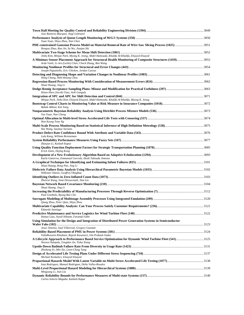| Jose Ramirez-Marquez, Nagi Gebraeel                                                                                                                                |      |
|--------------------------------------------------------------------------------------------------------------------------------------------------------------------|------|
| Yuan Yuan, Shiyu Zhou, Nan Chen                                                                                                                                    |      |
| PDE-constrained Gaussian Process Model on Material Removal Rate of Wire Saw Slicing Process (1025) 3051<br>Hongxu Zhao, Ran Jin, Su Wu, Jianjun Shi                |      |
| Jinho Kim, Minjae Park, Myong K. Jeong, Abdel Hamouda, Khalifa Al-Khalifa, Elsayed Elsayed                                                                         |      |
| A Minimax Sensor Placement Approach for Structural Health Monitoring of Composite Structures (1459)3053<br>Arda Vanli, Li-Jen (Leslie) Chen, Chuck Zhang, Ben Wang |      |
| Joseph Pignatiello, Eric Chicken, Jordan Cuevas                                                                                                                    |      |
| Shing Chang, Shih-Hsiung Chou                                                                                                                                      |      |
| Shuai Huang, Jing Li                                                                                                                                               |      |
| Hsiao-Shen (Jacob) Tsao, Avik Ganguly                                                                                                                              |      |
| Minjae Park, Jinho Kim, Elsayed Elsayed, Abdel Hamouda, Khalifa Al-Khalifa, Myong K. Jeong                                                                         |      |
| Babak Abbasi, Kai Yang                                                                                                                                             |      |
| Tao Yuan, Nan Cheng                                                                                                                                                |      |
| Hon Keung Tony Ng                                                                                                                                                  |      |
| Hui Wang, Saumuy Suriano                                                                                                                                           |      |
| Lulu Kang, William Brenneman                                                                                                                                       |      |
| Zhaojun Li, Kailash Kapur                                                                                                                                          |      |
| Erick Jones, Dejing Kong                                                                                                                                           |      |
| Karla Gutierrez, Emmanuel Gurrola, Heidi Taboada Jimenez                                                                                                           |      |
| Shuai Huang, Rong Pan, Jing Li                                                                                                                                     |      |
| Wilkistar Otieno, Geoffrey Okogbaa                                                                                                                                 |      |
| Zhenrui Wang, Sean Dessureault, Jian Liu                                                                                                                           |      |
| Shuai Huang, Jing Li                                                                                                                                               |      |
| Paul Goethals, Byung Rae Cho                                                                                                                                       |      |
| Qiang Zhou, Peter Qian, Shiyu Zhou                                                                                                                                 |      |
| Multivariate Capability Analysis: Can Your Process Satisfy Customer Requirements? (236)<br>Eduardo Santiago                                                        | 3121 |
| Haitao Liao, Seyed Niknam, Faranak Fathi                                                                                                                           |      |
| Using Simulation for the Design and Integration of Distributed Power Generation Systems in Semiconductor                                                           |      |
| Jesus Jimenez, Saul Villarreal, Gregory Guzman                                                                                                                     |      |
| Vahidhossein Khiabani, Rajesh Kavasseri, Om Prakash Yadav                                                                                                          |      |
| Naveen Nalajala, Tongdan Jin, Yisha Xiang                                                                                                                          |      |
| Zhisheng Ye, Min Xie, Loon-Ching Tang                                                                                                                              |      |
| Michael Koskulics, Elsayed Elsayed                                                                                                                                 |      |
| Ivan Rodriguez, Manuel Rodriguez, Delia Valles-Rosales                                                                                                             |      |
| Mingyang Li, Jian Liu                                                                                                                                              |      |
| Carlos Solorio Magaña, Kailash Kapur                                                                                                                               |      |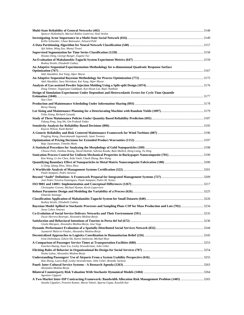| Spencer Hollenbach, Marisel Robles Gutierrez, Noel Artiles                                                                                                                        |      |
|-----------------------------------------------------------------------------------------------------------------------------------------------------------------------------------|------|
|                                                                                                                                                                                   |      |
| Kellie Schneider, Chase Rainwater, Edward Pohl                                                                                                                                    |      |
| Ajit Sahoo, Ming Zuo, Manoj Tiwari                                                                                                                                                |      |
| Houtao Deng, George Runger, Eugene Tuv                                                                                                                                            |      |
| Rodney Kestle, Elizabeth Cudney                                                                                                                                                   |      |
| An Adaptive Sequential Experimentation Methodology for n-dimensional Quadratic Response Surface<br>Adel Alaeddini, Kai Yang, Alper Murat                                          |      |
|                                                                                                                                                                                   |      |
| Adel Alaeddini, Sara Shirinkam, Kai Yang, Alper Murat                                                                                                                             |      |
| Doug Timmer, Nagarjuna Gaddipati, Kye-Hwan Lee, Rajiv Nambiar<br>Design of Simulation Experiments Under Dependent and Heterscedastic Errors for Cycle Time Quantile               |      |
|                                                                                                                                                                                   |      |
| Nan Chen                                                                                                                                                                          |      |
| <b>Boray Huang</b>                                                                                                                                                                |      |
| Yisha Xiang, Richard Cassady                                                                                                                                                      |      |
| Yidong Peng, Jing Shi, Om Prakash Yadav                                                                                                                                           |      |
| Kaycee Wilson, Kash Barker                                                                                                                                                        |      |
|                                                                                                                                                                                   |      |
| Pingfeng Wang, Dwarakanath Jagannath, Janet Twomey<br>Raja Jayaraman, Timothy Matis                                                                                               |      |
|                                                                                                                                                                                   |      |
| Chiwoo Park, Jianhua Huang, David Huitink, Subrata Kundu, Bani Mallick, Hong Liang, Yu Ding                                                                                       |      |
| Kan Wang, Li-Jen Chen, Arda Vanli, Chuck Zhang, Ben Wang                                                                                                                          |      |
| Li Zeng, Qiang Zhou, Shiyu Zhou                                                                                                                                                   |      |
| Paulo Sampaio, Pedro Saraiva                                                                                                                                                      |      |
| José Pedro Teixeira Domingues, Paulo Sampaio, Pedro M. Arezes                                                                                                                     |      |
| Christopher Greene, Michael Hyman, Kevin Laperriere                                                                                                                               |      |
|                                                                                                                                                                                   |      |
| Eduardo Santiago<br>Rodney Kestle, Elizabeth Cudney                                                                                                                               |      |
|                                                                                                                                                                                   | 3234 |
| Jesus Cohen Jimenez<br>Oscar Herrera Restrepo, Alexandra Medina-Borja                                                                                                             |      |
|                                                                                                                                                                                   |      |
| Gisela Marquez, Alexandra Medina-Borja, Jose Vega                                                                                                                                 |      |
| Joymariel Melecio-Vinales, Alexandra Medina-Borja<br>Irina Dolinskaya, Edwin Shi, Karen Smilowitz, Michael Ross                                                                   |      |
|                                                                                                                                                                                   |      |
| Yunchen Huang, Xuan Liu, Lesley Strawderman, John Usher                                                                                                                           |      |
| Neyka Laboy, Alexandra Medina-Borja                                                                                                                                               |      |
| Han Zhang, Laura Ruff, Lesley Strawderman, John Usher, Brandie Jackson                                                                                                            |      |
| Alexandra Medina-Borja                                                                                                                                                            |      |
| Agostino Capponi                                                                                                                                                                  |      |
| A Two-Market Inter-ISP Contracting Framework: Bandwidth Allocation Risk Management Problem (1405) 3265<br>Anusha Uppaluri, Praveen Kumar, Murat Yuksel, Aparna Gupta, Koushik Kar |      |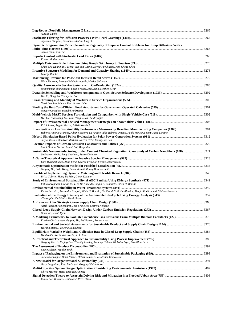| Aurelie Thiele                                                                                                                                                   |  |
|------------------------------------------------------------------------------------------------------------------------------------------------------------------|--|
|                                                                                                                                                                  |  |
| Agostino Capponi, Ibrahim Fatkullin, Ling Shi<br>Dynamic Programming Principle and the Regularity of Impulse Control Problems for Jump Diffusions With a         |  |
|                                                                                                                                                                  |  |
| Aaron Chen, Xin Guo                                                                                                                                              |  |
| Kumar Muthuraman                                                                                                                                                 |  |
|                                                                                                                                                                  |  |
| Chun-Che Huang, Bill Tseng, Jen-Son Cheng, Horng-Fu Chuang, Kun-Cheng Chen                                                                                       |  |
| George Rumbe                                                                                                                                                     |  |
| Nizar Zaarour, Emanuel Melachrinoudis, Marius Solomon                                                                                                            |  |
|                                                                                                                                                                  |  |
| Nithinkumar Shanmugam, Louis Freund, Ash Laing, Stephen Kwan                                                                                                     |  |
| Hui Xi, Dong Xu, Young-Jun Son                                                                                                                                   |  |
| Yossi Bukchin, Michal Tzur, Itamar Inbar                                                                                                                         |  |
|                                                                                                                                                                  |  |
| Magaly González, Betzabé Rodríguez                                                                                                                               |  |
| Wei Lu, Yuanchang Xie, Wen Wang, Luca Quadrifoglio                                                                                                               |  |
|                                                                                                                                                                  |  |
| Erick Jones, Angela Garza, Jaikrit Kandari<br>Investigation on Use Sustainability Performance Measures by Brazilian Manufacturing Companies (1360)304            |  |
| Roberto Antonio Martins, Juliano Bezerra De Araujo, Aldo Roberto Ometto, Paulo Henrique Sant' Anna Lentino                                                       |  |
| Jiayun Zhao, Esfandyar Mazhari, Nurcin Celik, Young-Jun Son                                                                                                      |  |
|                                                                                                                                                                  |  |
| Mark Daskin, Sorour Talebi, Saif Benjaafar<br>Sustainable Nanomanufacturing Under Current Chemical Regulation: Case Study of Carbon Nanofibers (688)3321         |  |
| Sasikumar Naidu, Rupy Sawhney, Rajive Dhingra                                                                                                                    |  |
| Esra Buyuktahtakin, Zhuo Feng, George Frisvold, Ferenc Szidarovszky                                                                                              |  |
|                                                                                                                                                                  |  |
| Guiping Hu, Lizhi Wang, Susan Arendt, Randy Boeckenstedt                                                                                                         |  |
| Brice Gabriel, Hung-Da Wan, Glenn Kuriger                                                                                                                        |  |
|                                                                                                                                                                  |  |
| Fábio Sevegnani, Cecília M. V. B. De Almeida, Biagio F. Giannetti, Silvia H. Bonilla                                                                             |  |
| Pedro Ferreira, Alexandre Frugoli, Silvia H. Bonilla, Cecília M. V. B. De Almeida, Biagio F. Giannetti, Viviane Ferreira                                         |  |
| Christopher De Vilbiss, Hank Grant                                                                                                                               |  |
|                                                                                                                                                                  |  |
| Abril Vazquez-Armendariz, Jose Francisco Espiritu Nolasco                                                                                                        |  |
| Nan Gao, Sarah Ryan                                                                                                                                              |  |
| A Modeling Framework to Evaluate Greenhouse Gas Emissions From Multiple Biomass Feedstocks (427)3375<br>Katrina Christiansen, Guiping Hu, Raj Raman, Robert Anex |  |
|                                                                                                                                                                  |  |
| Haritha Metta, Fazleena Badurdeen                                                                                                                                |  |
| Wenbo Shi, Karla Valenzuela, K. Jo Min                                                                                                                           |  |
| Gregory Harris, Yeging Bao, Timothy Landry, Anthony Holden, Nicholas Loyd, Lisa Blanchard                                                                        |  |
|                                                                                                                                                                  |  |
| Sirine Saleem, Manbir Sodhi                                                                                                                                      |  |
| Alexander Hugar, Dima Nazzal, Debra Reinhart, Waldemar Karwowski                                                                                                 |  |
|                                                                                                                                                                  |  |
| Gary Bergmiller, Paul McCright, Gregory Weisenborn                                                                                                               |  |
| Olivia Moreno, Heidi Taboada Jimenez                                                                                                                             |  |
| Eunsu Lee, Kambiz Farahmand, Peter Oduor                                                                                                                         |  |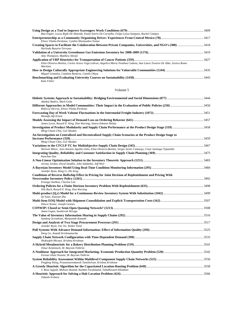| Rita Engler, Lucas Righi De Almeida, Paula Soeiro De Carvalho, Felipe Lessa Sampaio, Rachel Campos                                           |  |
|----------------------------------------------------------------------------------------------------------------------------------------------|--|
|                                                                                                                                              |  |
| Eliseo Vilalta-Perdomo, Cynthia Montaudon-Tomas                                                                                              |  |
|                                                                                                                                              |  |
| Herlinda Basurto-Terrazas                                                                                                                    |  |
|                                                                                                                                              |  |
| Amy Thompson, Matthew Altonji                                                                                                                |  |
|                                                                                                                                              |  |
| Elias Olivares-Benitez, Carlos Arturo Vega Lebrun, Angelica Maria Tenahua Cadena, Ana Laura Tavares De Alba, Jessica Romo<br><i>Martinez</i> |  |
|                                                                                                                                              |  |
| Miguel Gonzalez, Catalina Ramirez, Camilo Olaya                                                                                              |  |
|                                                                                                                                              |  |
| Kate Fisher                                                                                                                                  |  |

| Adedeji Badiru, Mark Goltz                                                                                                            |  |
|---------------------------------------------------------------------------------------------------------------------------------------|--|
| Rebecca Herron, Eliseo Vilalta-Perdomo                                                                                                |  |
| Mustafa Alp Ertem                                                                                                                     |  |
|                                                                                                                                       |  |
| James Lavin, Russell E. King, Don Warsing, Semra Sebnem Ahiska<br>Ming-Chuan Chiu, Gul Okudan                                         |  |
| An Investigation on Centralized and Decentralized Supply Chain Scenarios at the Product Design Stage to                               |  |
| Ming-Chuan Chiu, Gul Okudan                                                                                                           |  |
|                                                                                                                                       |  |
| Hertwin Minor, Jose-Antonio Aguilar-Solis, Elias Olivares-Benitez, Sergio Javier Camargo, Cesar Santiago Tepantlán                    |  |
| Kanchan Das                                                                                                                           |  |
| Jeremy Jordan, Doral Sandlin, John Saldanha, Jeff Weir                                                                                |  |
| Jennifer Ryan, Rong Li, Zhi Zeng                                                                                                      |  |
| Conditions of Reverse Bullwhip Effect in Pricing for Joint Decision of Replenishment and Pricing With<br>Ertunga Ozelkan, Churlzu Lim |  |
| Nils Buch, Russell E. King, Don Warsing                                                                                               |  |
| Qi Yuan, Xiaoyan Zhu                                                                                                                  |  |
| Dincer Konur, Joseph Geunes                                                                                                           |  |
| Aman Gupta, Sunderesh Heragu                                                                                                          |  |
| Sandeep Srivathsan, Manjunath Kamath                                                                                                  |  |
| Jennifer Ryan, Yue Jin, Walter Yund                                                                                                   |  |
| Deng Ge, Ananth Krishnamurthy                                                                                                         |  |
| Shokoufeh Mirzaei, Krishna Krishnan                                                                                                   |  |
| Timur Keskinturk, M. Bayram Yildirim                                                                                                  |  |
| Farnaz Ghazi Nezami, M. Bayram Yildirim                                                                                               |  |
| Pingfeng Wang, Prasannavenkatesh Tamilselvan, Krishna Krishnan                                                                        |  |
| S. Reza Sajjadi, Mohsen Hamidi, Kambiz Farahmand, Vahidhossein Khiabani                                                               |  |
| Takashi Irohara                                                                                                                       |  |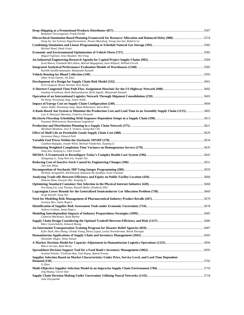| Ramanan Veeraragavan, Pratik Parikh                                                                                                                         |      |
|-------------------------------------------------------------------------------------------------------------------------------------------------------------|------|
|                                                                                                                                                             |      |
| Dong Xu, Sai Srinivas Nageshwaraniyer, Puneet Bhardwaj, Young-Jun Son, Roberto Lu<br>Michael Bond, Hank Grant                                               |      |
| Miguel Figliozzi, Jesse Boudart, Wei Feng                                                                                                                   |      |
| Scott Mason, Elizabeth McCallion, Mariah Magagnotti, Sean Whetsel, William Ferrell                                                                          |      |
| Karthik Ayodhiramanujan, Manjunath Kamath                                                                                                                   |      |
| Okan Orsan Ozener, Ali Ekici                                                                                                                                |      |
| Erin Claypool, Bryan Norman, Kim Needy                                                                                                                      |      |
| Sandeep Srivathsan, Baski Balasundaram, Ricki Ingalls, Manjunath Kamath                                                                                     |      |
| Na Deng, Wooseung Jang, James Noble                                                                                                                         |      |
| James Noble, Wooseung Jang, Adam Rubemeyer, Kara Bono                                                                                                       |      |
| A Rank-Based Ant System to Minimize the Production Cost and Lead Time in an Assembly Supply Chain (1115)3605<br>Luis A. Moncayo-Martinez, Federico Zertuche |      |
| Yasaman Mehravaran, Rasaratnam Logendran                                                                                                                    |      |
| Abraham Mendoza, José A. Ventura, Seong Rae Cho                                                                                                             |      |
| Stevenson Sharp, Edward Pohl                                                                                                                                |      |
| Gautham Rajappa, Joseph Wilck, Michael Vanderlan, Xueping Li                                                                                                |      |
| Yang Sun, Xueping Li, John Fowler                                                                                                                           |      |
| Xiangyang Li, Yung-Wen Liu, Joseph Tan                                                                                                                      |      |
| Jiun-Yan Shiau                                                                                                                                              |      |
| Shrikant Jarugumilli, Wichitsawat Suksawat Na Ayudhya, Scott Grasman                                                                                        |      |
| Zhaoxia Zhao, Xiaoyan Zhu, Xueping Li                                                                                                                       |      |
| Yen-Hung Lin, Lisa Thomas, Russell Meller, Kimberly Ellis                                                                                                   |      |
| Serge Karalli, Yang Sun                                                                                                                                     |      |
| Sowmya Rao, Jamie Rogers                                                                                                                                    |      |
| Identification of Supplier Risk Assessment Tools under Economic Uncertainty (754)<br>Andrea Graham, Jamie Rogers                                            | 3678 |
| Cameron Mackenzie, Kash Barker                                                                                                                              |      |
| Marc Goetschalckx, Edward Huang                                                                                                                             |      |
| Kylie Nash, Han Zhang, Glenda Young, Henry Legett, Lesley Strawderman, Burak Eksioglu                                                                       |      |
| Alexander Hugar, Dima Nazzal                                                                                                                                |      |
| Marco Serrato, Raul Heras                                                                                                                                   |      |
| Arsalan Paleshi, Trivikram Rao, Gail Depuy, Bulent Erenay                                                                                                   |      |
| Supplier Selection Based on Market Characteristics Under Price, Service Level, and Lead Time Dependent                                                      |      |
| Li Qian                                                                                                                                                     |      |
| Jing Huang, Gürsel Süer                                                                                                                                     |      |
| Julie Drzymalski                                                                                                                                            |      |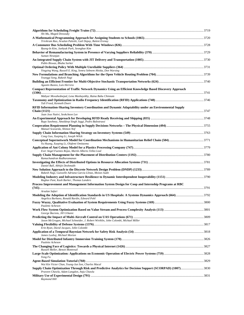| Shi Mu, Maged Dessouky                                                                                                                                         |  |
|----------------------------------------------------------------------------------------------------------------------------------------------------------------|--|
| Trivikram Rao, Arsalan Paleshi, Gail Depuy, Bulent Erenay                                                                                                      |  |
| Byung-In Kim, Junhyuk Park, Seongbae Kim                                                                                                                       |  |
| Suman Niranjan                                                                                                                                                 |  |
| Pablo Biswas, Bhaba Sarker                                                                                                                                     |  |
| Yingying Wang, Russell E. King, Semra Sebnem Ahiska, Don Warsing                                                                                               |  |
| Younggi Song, Rakesh Nagi                                                                                                                                      |  |
| Agustin Bustos, Luis Herrera                                                                                                                                   |  |
| Compact Representation of Traffic Network Dynamics Using an Efficient Knowledge Based Discovery Approach                                                       |  |
| Mahyar Movahednejad, Lena Mashayekhy, Ratna Babu Chinnam                                                                                                       |  |
| Tali Freed, Kenneth Doerr                                                                                                                                      |  |
| RFID Information-Sharing Inventory Coordination and Dynamic Adaptability under an Environmental Supply                                                         |  |
| Juan Jose Nativi, Seokcheon Lee                                                                                                                                |  |
| Rupy Sawhney, Amoldeep Singh Jaggi, Pedro Balestrassi                                                                                                          |  |
| Manuel Scavarda, Shimon Nof                                                                                                                                    |  |
| Cong Guo, Xueping Li, Joseph Wilck                                                                                                                             |  |
| Yu Huang, Xueping Li, Olufemi Omitaomu                                                                                                                         |  |
| Ever Angel Fuentes Rojas, Martín Alberto Tellez Leal                                                                                                           |  |
| Ramachandran Radharamanan                                                                                                                                      |  |
| Daniel Ball, Abhijit Deshmukh                                                                                                                                  |  |
| Rakesh Nagi, Guisselle Adriana Garcia Llinas, Moises Sudit                                                                                                     |  |
| Raghav Pant, Kash Barker, Thomas Landers                                                                                                                       |  |
| Process Improvement and Management Information System Design for Coop and Internship Programs at RBC                                                           |  |
| Arsalan Safari                                                                                                                                                 |  |
| Angelica Burbano, Ronald Rardin, Edward Pohl                                                                                                                   |  |
| Paulette Acheson                                                                                                                                               |  |
| George Bacioiu, Jill Urbanic                                                                                                                                   |  |
| Jason McGrogan, Michael Schneider, J. Robert Wirthlin, John Colombi, Michael Miller                                                                            |  |
| Erin Ryan, David Jacques, John Colombi                                                                                                                         |  |
| James Luxhoj, Michael Morton                                                                                                                                   |  |
| Paulette Acheson                                                                                                                                               |  |
|                                                                                                                                                                |  |
| Russell Meller, Benoit Montreuil                                                                                                                               |  |
| Yong Fu                                                                                                                                                        |  |
| Wai Kin Victor Chan, Young-Jun Son, Charles Macal<br>Supply Chain Optimization Through Risk and Predictive Analytics for Decision Support (SCORPAD) (1007)3830 |  |
| Praveen Chawla, Adam Langdon, Anju Chawla                                                                                                                      |  |
| Raymond Hill                                                                                                                                                   |  |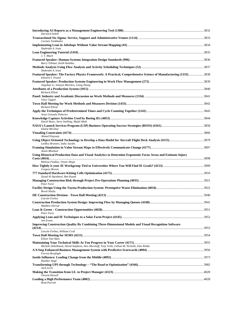| Durward Sobek                                                                                                                      |  |
|------------------------------------------------------------------------------------------------------------------------------------|--|
| Carmen Temblador                                                                                                                   |  |
| Shahrukh A. Irani                                                                                                                  |  |
| J. T. Black                                                                                                                        |  |
| Barry Tillman, Keith Holubec                                                                                                       |  |
| Shahrukh A. Irani                                                                                                                  |  |
| Featured Speaker: The Factory Physics Framework: A Practical, Comprehensive Science of Manufacturing (1333)3838<br>Edward S. Pound |  |
| Jingshan Li, Semyon Meerkov, Liang Zhang                                                                                           |  |
| <b>Richard Elliott</b>                                                                                                             |  |
|                                                                                                                                    |  |
| Vince Tappel<br><b>Richard Elliott</b>                                                                                             |  |
|                                                                                                                                    |  |
| Jesus Gonzalo Palacios                                                                                                             |  |
| David Skoor, Steve Snelling, Majid Abab                                                                                            |  |
| Elaina McGhee                                                                                                                      |  |
| Ahmed Elayouty                                                                                                                     |  |
| LeeRoy Bronner, India Jacobs                                                                                                       |  |
| Anant Bhushan<br>Using Historical Production Data and Visual Analytics to Determine Ergonomic Focus Areas and Estimate Injury      |  |
| Melissa Findlay, Vinnie Ahuja                                                                                                      |  |
| Gregory Brown                                                                                                                      |  |
| Zeyad Al Aqrabawi, Ben Kusak                                                                                                       |  |
| Peter Furst                                                                                                                        |  |
| <b>Brock Husby</b>                                                                                                                 |  |
| Lincoln Forbes                                                                                                                     |  |
| Matthew Horvat                                                                                                                     |  |
| Peter Furst                                                                                                                        |  |
| Jan Evans                                                                                                                          |  |
| <b>Improving Construction Quality By Combining Three-Dimensional Models and Visual Recognition Software</b>                        |  |
| Lincoln Forbes, William Croll                                                                                                      |  |
| Eileen Van Aken                                                                                                                    |  |
| Michele Dekelbaum, David Stephens, Alex Mironoff, Tony Veith, Gillian M. Nicholls, Don Wittke                                      |  |
| Forrest Breyfogle                                                                                                                  |  |
| <b>Heather Stagl</b>                                                                                                               |  |
| Jack Levis                                                                                                                         |  |
| Vincent Howell                                                                                                                     |  |
| <b>Brad Parrish</b>                                                                                                                |  |
|                                                                                                                                    |  |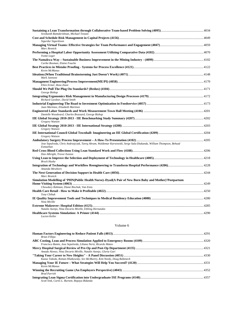| Sreekanth Ramakrishnan, Michael Testani                                                                                                           |  |
|---------------------------------------------------------------------------------------------------------------------------------------------------|--|
| Sigurdur Sigurdsson                                                                                                                               |  |
| Marc Resnick                                                                                                                                      |  |
| <b>Yvette</b> Leger                                                                                                                               |  |
| Carike Bosman, Elaine Fouche                                                                                                                      |  |
| Kevin McManus                                                                                                                                     |  |
| Mark Jannone                                                                                                                                      |  |
| Ellen Ermer, Reza Ziaee                                                                                                                           |  |
| George Bishop                                                                                                                                     |  |
| Richard Gardner, David Smith                                                                                                                      |  |
| Juan Martinez, Elizabeth Martinez                                                                                                                 |  |
| Danielle Woodward, Charles Brassard, George Bishop                                                                                                |  |
| Gregory Watson                                                                                                                                    |  |
| Gregory Watson                                                                                                                                    |  |
| Gregory Watson                                                                                                                                    |  |
| Jose Sepulveda, Chris Andrzejczak, Tareg Ahram, Waldemar Karwowski, Serge Sala-Diakanda, William Thompson, Behzad<br>Esmaelian                    |  |
| Don Albright, Trevor Easton                                                                                                                       |  |
| <b>Brock Husby</b>                                                                                                                                |  |
| Amanda Mewborn                                                                                                                                    |  |
| Marc Resnick                                                                                                                                      |  |
| Simulation Modelling of 'PHN(Public Health Nurse)-Dyad(A Pair of New Born Baby and Mother)'Postpartum<br>Chowdury Rahman, Diane Bischak, Van Enns |  |
| Tony Chihak                                                                                                                                       |  |
| Nina Miville                                                                                                                                      |  |
| Natalie Asenjo, Nina Decario Miville, Ethling Hernandez                                                                                           |  |
| Lucien Keller                                                                                                                                     |  |

| Brian Fillipo<br>Francisco Ramis, Jose Sepulveda, Liliana Neriz, Ricardo Mateo<br>Amada Alonso, Nina Decario Miville, Natalie Asenjo, Gloria Gari<br>Kazuo Takeda, Roman Hlutkowsky, Sev McMurtry, Kim Needy, Doug Rabeneck<br>Kevin McManus<br><b>Brad Parrish</b> |                                               |  |
|---------------------------------------------------------------------------------------------------------------------------------------------------------------------------------------------------------------------------------------------------------------------|-----------------------------------------------|--|
|                                                                                                                                                                                                                                                                     |                                               |  |
|                                                                                                                                                                                                                                                                     |                                               |  |
|                                                                                                                                                                                                                                                                     |                                               |  |
|                                                                                                                                                                                                                                                                     |                                               |  |
|                                                                                                                                                                                                                                                                     |                                               |  |
|                                                                                                                                                                                                                                                                     |                                               |  |
|                                                                                                                                                                                                                                                                     |                                               |  |
|                                                                                                                                                                                                                                                                     |                                               |  |
|                                                                                                                                                                                                                                                                     |                                               |  |
|                                                                                                                                                                                                                                                                     |                                               |  |
|                                                                                                                                                                                                                                                                     |                                               |  |
|                                                                                                                                                                                                                                                                     |                                               |  |
|                                                                                                                                                                                                                                                                     | Scott Sink, Curtis L. Burnett, Bopaya Bidanda |  |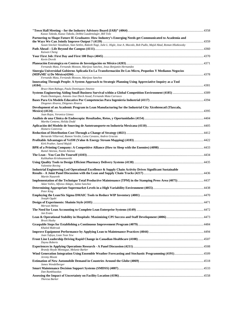| Kazuo Takeda, Kazuo Takeda, Debbie Laudenslager, Bill Tolo                                                                                                  |  |
|-------------------------------------------------------------------------------------------------------------------------------------------------------------|--|
| Partnering to Shape Future IE Graduates: How Industry's Emerging Needs get Communicated to Academia and                                                     |  |
| Susan Sinclair Steadman, Stan Settles, Rakesh Nagi, Julie L. Higle, Jose A. Macedo, Bob Pudlo, Majid Abad, Roman Hlutkowsky<br>Kaiwen Cheng                 |  |
| Kevin Drevik                                                                                                                                                |  |
| Fernando Mata, Fernando Monzon, Marijose Sanchez, Jesus Benjamin Hernandez                                                                                  |  |
| Sinergia Universidad Gobierno Aplicada En La Transformación De Los Micro, Pequeños Y Medianos Negocios                                                      |  |
| Fernando Mata, Fernando Monzon, Marijose Sanchez<br>Innovating Through People: A System Approach to Strategic Planning Using Appreciative Inquiry as a Tool |  |
| Bruce Ham Rabago, Paula Dominguez Jimenez                                                                                                                   |  |
| Paula Dominguez, Antonio Jose Dieck Assad, Fernando Mata Carrasco<br>Diogenes Alvarez, Diógenes Alvarez                                                     |  |
| Development of an Academic Program in Lean Manufacturing for the Industrial City Xicohtencatl (Tlaxcala,                                                    |  |
| Juan Rojas, Veronica Gómez<br>Martha Centeno, Helida Dodd                                                                                                   |  |
| Homero Contreras                                                                                                                                            |  |
| Bernardo Villarreal, Ramon Verdin, Luisa Cavazos, Andres Gracias                                                                                            |  |
| Kirk Prather, Saeed Majidi                                                                                                                                  |  |
| Rumel Atienza, Noemi Atienza                                                                                                                                |  |
| Kalikathan Krishnamoorthi                                                                                                                                   |  |
| Valentine Boving                                                                                                                                            |  |
| Industrial Engineering Led Operational Excellence & Supply Chain Activity Drives Significant Sustainable<br>Martin Nazareth                                 |  |
| Implementation of the Technique Total Productive Maintenance (TPM) in the Stamping Press Area (4075)437<br>Adan Valles, Alfonso Aldape, Jaime Sanchez       |  |
| Peter King                                                                                                                                                  |  |
| Joseph Ogabi                                                                                                                                                |  |
| Merwan Mehta                                                                                                                                                |  |
| Jan Evans                                                                                                                                                   |  |
| <b>Brock Husby</b>                                                                                                                                          |  |
| Khaled Mabrouk                                                                                                                                              |  |
| Joan Tafoya, Lean Tean Yew                                                                                                                                  |  |
| Dayna Roberts                                                                                                                                               |  |
| Brandy Heyde Montague, Melanie Barker                                                                                                                       |  |
| Jeremy Bloom                                                                                                                                                |  |
| James Wendelberger                                                                                                                                          |  |
| Dan Bumblauskas                                                                                                                                             |  |
| Theresa Barker                                                                                                                                              |  |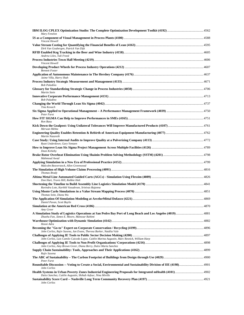| Mary Fenelon                                                                                                                    |      |
|---------------------------------------------------------------------------------------------------------------------------------|------|
| Vincent Howell                                                                                                                  |      |
| Dirk Van Goubergen, Patrick Van Dijk                                                                                            |      |
| Andrew Liles, Tali Freed                                                                                                        |      |
|                                                                                                                                 |      |
| Vincent Howell<br><b>Bennett Foster</b>                                                                                         |      |
| Jaime Villa, Harry Shah                                                                                                         |      |
| <b>Bob Paladino</b>                                                                                                             |      |
| Martin Stein                                                                                                                    |      |
|                                                                                                                                 |      |
| <b>Bob Paladino</b><br>Tina Kovach                                                                                              |      |
| Peter Furst                                                                                                                     |      |
| Ron Basu                                                                                                                        |      |
| Merwan Mehta                                                                                                                    |      |
| Martin Nazareth                                                                                                                 |      |
| Ryan Underdown, Gary Yentzen                                                                                                    |      |
| Dean Kirkeby                                                                                                                    |      |
| Mahmoud Awad                                                                                                                    |      |
| Malcolm Beaverstock, Allen Greenwood                                                                                            |      |
| Thomas Brady                                                                                                                    |      |
| Don Hart, Travis Hill, Robbie Holt                                                                                              |      |
| Ravindra Lote, Karthik Vasudevan, Srinivas Rajanna                                                                              |      |
| Thomas Seitz, Diana Wu                                                                                                          |      |
| Daniel Pavan, Scott Baylis                                                                                                      |      |
| Simulation at the American Red Cross (4186)<br>Amy Greer                                                                        | 4870 |
| Zhaohu Fan, James E. Moore, Mansour Rahimi                                                                                      |      |
| Hosni Adra                                                                                                                      |      |
| John Corliss, Rajiv Saxena, Jan Evans, Theresa Barker, Natália Vale                                                             |      |
| John Corliss, Luis Camilo Caicedo Lopez, Caitlin Marina Augustin, Marc Resnick, William Harp                                    |      |
| John Corliss, Amy Brown Greer, Diana Berry, Dulce Maria Sanchez                                                                 |      |
|                                                                                                                                 |      |
| Rajiv Saxena                                                                                                                    |      |
| Peter Furst<br>Roundtable Discussion -- Voting to Create a Social, Environmental and Sustainability Division of IIE (4198) 4901 |      |
| John Corliss<br>Dulce Sanchez, Caitlin Augustin, Shihab Asfour, Nina Miville                                                    |      |
| John Corliss                                                                                                                    |      |